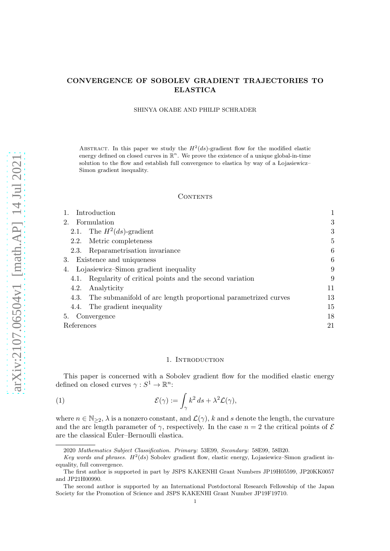# CONVERGENCE OF SOBOLEV GRADIENT TRAJECTORIES TO ELASTICA

#### SHINYA OKABE AND PHILIP SCHRADER

ABSTRACT. In this paper we study the  $H^2(ds)$ -gradient flow for the modified elastic energy defined on closed curves in  $\mathbb{R}^n$ . We prove the existence of a unique global-in-time solution to the flow and establish full convergence to elastica by way of a Lojasiewicz– Simon gradient inequality.

#### CONTENTS

| Introduction                                                        |    |
|---------------------------------------------------------------------|----|
| 2.<br>Formulation                                                   | 3  |
| 2.1. The $H^2(ds)$ -gradient                                        | 3  |
| Metric completeness<br>2.2.                                         | 5  |
| Reparametrisation invariance<br>2.3.                                | 6  |
| Existence and uniqueness<br>3.                                      | 6  |
| Lojasiewicz-Simon gradient inequality<br>4.                         | 9  |
| Regularity of critical points and the second variation<br>4.1.      | 9  |
| Analyticity<br>4.2.                                                 | 11 |
| 4.3. The submanifold of arc length proportional parametrized curves | 13 |
| 4.4. The gradient inequality                                        | 15 |
| Convergence<br>5.                                                   | 18 |
| References                                                          | 21 |
|                                                                     |    |

#### <span id="page-0-1"></span>1. INTRODUCTION

<span id="page-0-0"></span>This paper is concerned with a Sobolev gradient flow for the modified elastic energy defined on closed curves  $\gamma: S^1 \to \mathbb{R}^n$ :

(1) 
$$
\mathcal{E}(\gamma) := \int_{\gamma} k^2 ds + \lambda^2 \mathcal{L}(\gamma),
$$

where  $n \in \mathbb{N}_{\geq 2}$ ,  $\lambda$  is a nonzero constant, and  $\mathcal{L}(\gamma)$ , k and s denote the length, the curvature and the arc length parameter of  $\gamma$ , respectively. In the case  $n = 2$  the critical points of  $\mathcal E$ are the classical Euler–Bernoulli elastica.

<sup>2020</sup> Mathematics Subject Classification. Primary: 53E99, Secondary: 58E99, 58B20.

Key words and phrases.  $H^2(ds)$  Sobolev gradient flow, elastic energy, Lojasiewicz-Simon gradient inequality, full convergence.

The first author is supported in part by JSPS KAKENHI Grant Numbers JP19H05599, JP20KK0057 and JP21H00990.

The second author is supported by an International Postdoctoral Research Fellowship of the Japan Society for the Promotion of Science and JSPS KAKENHI Grant Number JP19F19710.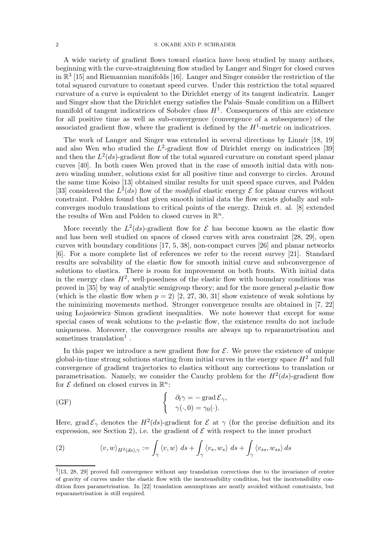A wide variety of gradient flows toward elastica have been studied by many authors, beginning with the curve-straightening flow studied by Langer and Singer for closed curves in  $\mathbb{R}^3$  [\[15\]](#page-20-1) and Riemannian manifolds [\[16\]](#page-20-2). Langer and Singer consider the restriction of the total squared curvature to constant speed curves. Under this restriction the total squared curvature of a curve is equivalent to the Dirichlet energy of its tangent indicatrix. Langer and Singer show that the Dirichlet energy satisfies the Palais–Smale condition on a Hilbert manifold of tangent indicatrices of Sobolev class  $H<sup>1</sup>$ . Consequences of this are existence for all positive time as well as sub-convergence (convergence of a subsequence) of the associated gradient flow, where the gradient is defined by the  $H^1$ -metric on indicatrices.

The work of Langer and Singer was extended in several directions by Linnér [\[18,](#page-20-3) [19\]](#page-20-4) and also Wen who studied the  $L^2$ -gradient flow of Dirichlet energy on indicatrices [\[39\]](#page-21-0) and then the  $L^2(ds)$ -gradient flow of the total squared curvature on constant speed planar curves [\[40\]](#page-21-1). In both cases Wen proved that in the case of smooth initial data with nonzero winding number, solutions exist for all positive time and converge to circles. Around the same time Koiso [\[13\]](#page-20-5) obtained similar results for unit speed space curves, and Polden [\[33\]](#page-21-2) considered the  $L^2(ds)$  flow of the modified elastic energy  $\mathcal E$  for planar curves without constraint. Polden found that given smooth initial data the flow exists globally and subconverges modulo translations to critical points of the energy. Dziuk et. al. [\[8\]](#page-20-6) extended the results of Wen and Polden to closed curves in  $\mathbb{R}^n$ .

More recently the  $L^2(ds)$ -gradient flow for  $\mathcal E$  has become known as the elastic flow and has been well studied on spaces of closed curves with area constraint [\[28,](#page-21-3) [29\]](#page-21-4), open curves with boundary conditions [\[17,](#page-20-7) [5,](#page-20-8) [38\]](#page-21-5), non-compact curves [\[26\]](#page-21-6) and planar networks [\[6\]](#page-20-9). For a more complete list of references we refer to the recent survey [\[21\]](#page-20-10). Standard results are solvability of the elastic flow for smooth initial curve and subconvergence of solutions to elastica. There is room for improvement on both fronts. With initial data in the energy class  $H^2$ , well-posedness of the elastic flow with boundary conditions was proved in [\[35\]](#page-21-7) by way of analytic semigroup theory; and for the more general p-elastic flow (which is the elastic flow when  $p = 2$ ) [\[2,](#page-20-11) [27,](#page-21-8) [30,](#page-21-9) [31\]](#page-21-10) show existence of weak solutions by the minimizing movements method. Stronger convergence results are obtained in [\[7,](#page-20-12) [22\]](#page-20-13) using Lojasiewicz–Simon gradient inequalities. We note however that except for some special cases of weak solutions to the p-elastic flow, the existence results do not include uniqueness. Moreover, the convergence results are always up to reparametrisation and sometimes translation<sup>1</sup>.

In this paper we introduce a new gradient flow for  $\mathcal{E}$ . We prove the existence of unique global-in-time strong solutions starting from initial curves in the energy space  $H^2$  and full convergence of gradient trajectories to elastica without any corrections to translation or parametrisation. Namely, we consider the Cauchy problem for the  $H^2(ds)$ -gradient flow for  $\mathcal E$  defined on closed curves in  $\mathbb R^n$ :

<span id="page-1-0"></span>(GF) 
$$
\begin{cases} \partial_t \gamma = - \operatorname{grad} \mathcal{E}_{\gamma}, \\ \gamma(\cdot, 0) = \gamma_0(\cdot). \end{cases}
$$

Here, grad  $\mathcal{E}_{\gamma}$  denotes the  $H^2(ds)$ -gradient for  $\mathcal{E}$  at  $\gamma$  (for the precise definition and its expression, see Section [2\)](#page-2-0), i.e. the gradient of  $\mathcal E$  with respect to the inner product

<span id="page-1-1"></span>(2) 
$$
\langle v, w \rangle_{H^2(ds), \gamma} := \int_{\gamma} \langle v, w \rangle \, ds + \int_{\gamma} \langle v_s, w_s \rangle \, ds + \int_{\gamma} \langle v_{ss}, w_{ss} \rangle \, ds
$$

<sup>&</sup>lt;sup>1</sup>[\[13,](#page-20-5) [28,](#page-21-3) [29\]](#page-21-4) proved full convergence without any translation corrections due to the invariance of center of gravity of curves under the elastic flow with the inextensibility condition, but the inextensibility condition fixes parametrisation. In [\[22\]](#page-20-13) translation assumptions are neatly avoided without constraints, but reparametrisation is still required.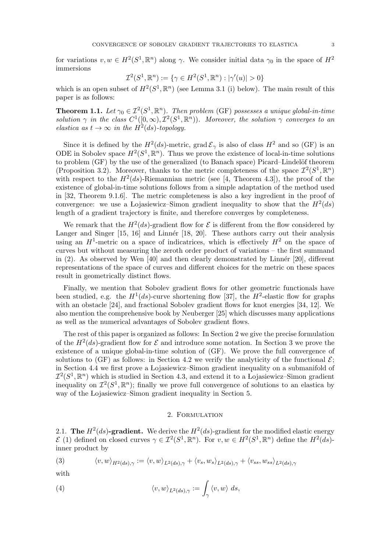for variations  $v, w \in H^2(S^1, \mathbb{R}^n)$  along  $\gamma$ . We consider initial data  $\gamma_0$  in the space of  $H^2$ immersions

$$
\mathcal{I}^2(S^1, \mathbb{R}^n) := \{ \gamma \in H^2(S^1, \mathbb{R}^n) : |\gamma'(u)| > 0 \}
$$

which is an open subset of  $H^2(S^1, \mathbb{R}^n)$  (see Lemma [3.1](#page-5-2) (i) below). The main result of this paper is as follows:

**Theorem 1.1.** Let  $\gamma_0 \in \mathcal{I}^2(S^1,\mathbb{R}^n)$ . Then problem [\(GF\)](#page-1-0) possesses a unique global-in-time solution  $\gamma$  in the class  $C^1([0,\infty), \mathcal{I}^2(S^1,\mathbb{R}^n))$ . Moreover, the solution  $\gamma$  converges to an elastica as  $t \to \infty$  in the  $H^2(ds)$ -topology.

Since it is defined by the  $H^2(ds)$ -metric, grad  $\mathcal{E}_{\gamma}$  is also of class  $H^2$  and so [\(GF\)](#page-1-0) is an ODE in Sobolev space  $H^2(S^1,\mathbb{R}^n)$ . Thus we prove the existence of local-in-time solutions to problem [\(GF\)](#page-1-0) by the use of the generalized (to Banach space) Picard–Lindelöf theorem (Proposition [3.2\)](#page-7-0). Moreover, thanks to the metric completeness of the space  $\mathcal{I}^2(S^1,\mathbb{R}^n)$ with respect to the  $H^2(ds)$ -Riemannian metric (see [\[4,](#page-20-14) Theorem 4.3]), the proof of the existence of global-in-time solutions follows from a simple adaptation of the method used in [\[32,](#page-21-11) Theorem 9.1.6]. The metric completeness is also a key ingredient in the proof of convergence: we use a Lojasiewicz–Simon gradient inequality to show that the  $H^2(ds)$ length of a gradient trajectory is finite, and therefore converges by completeness.

We remark that the  $H^2(ds)$ -gradient flow for  $\mathcal E$  is different from the flow considered by Langer and Singer  $[15, 16]$  $[15, 16]$  and Linnér  $[18, 20]$  $[18, 20]$ . These authors carry out their analysis using an  $H^1$ -metric on a space of indicatrices, which is effectively  $H^2$  on the space of curves but without measuring the zeroth order product of variations – the first summand in  $(2)$ . As observed by Wen [\[40\]](#page-21-1) and then clearly demonstrated by Linnér [\[20\]](#page-20-15), different representations of the space of curves and different choices for the metric on these spaces result in geometrically distinct flows.

Finally, we mention that Sobolev gradient flows for other geometric functionals have been studied, e.g. the  $H^1(ds)$ -curve shortening flow [\[37\]](#page-21-12), the  $H^2$ -elastic flow for graphs with an obstacle [\[24\]](#page-20-16), and fractional Sobolev gradient flows for knot energies [\[34,](#page-21-13) [12\]](#page-20-17). We also mention the comprehensive book by Neuberger [\[25\]](#page-20-18) which discusses many applications as well as the numerical advantages of Sobolev gradient flows.

The rest of this paper is organized as follows: In Section [2](#page-2-0) we give the precise formulation of the  $H^2(ds)$ -gradient flow for  $\mathcal E$  and introduce some notation. In Section [3](#page-5-1) we prove the existence of a unique global-in-time solution of [\(GF\)](#page-1-0). We prove the full convergence of solutions to [\(GF\)](#page-1-0) as follows: in Section [4.2](#page-10-0) we verify the analyticity of the functional  $\mathcal{E}$ ; in Section [4.4](#page-14-0) we first prove a Lojasiewicz–Simon gradient inequality on a submanifold of  $\mathcal{I}^2(S^1,\mathbb{R}^n)$  which is studied in Section [4.3,](#page-12-0) and extend it to a Lojasiewicz–Simon gradient inequality on  $\mathcal{I}^2(S^1,\mathbb{R}^n)$ ; finally we prove full convergence of solutions to an elastica by way of the Lojasiewicz–Simon gradient inequality in Section [5.](#page-17-0)

#### <span id="page-2-3"></span>2. Formulation

<span id="page-2-1"></span><span id="page-2-0"></span>2.1. The  $H^2(ds)$ -gradient. We derive the  $H^2(ds)$ -gradient for the modified elastic energy  $\mathcal{E}(1)$  $\mathcal{E}(1)$  defined on closed curves  $\gamma \in \mathcal{I}^2(S^1,\mathbb{R}^n)$ . For  $v, w \in H^2(S^1,\mathbb{R}^n)$  define the  $H^2(ds)$ inner product by

<span id="page-2-2"></span>(3) 
$$
\langle v, w \rangle_{H^2(ds), \gamma} := \langle v, w \rangle_{L^2(ds), \gamma} + \langle v_s, w_s \rangle_{L^2(ds), \gamma} + \langle v_{ss}, w_{ss} \rangle_{L^2(ds), \gamma}
$$

with

(4) 
$$
\langle v, w \rangle_{L^2(ds), \gamma} := \int_{\gamma} \langle v, w \rangle ds,
$$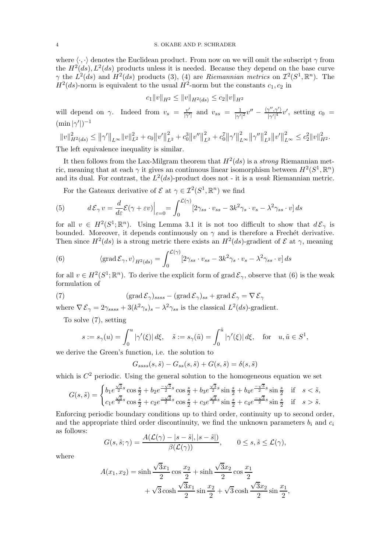where  $\langle \cdot, \cdot \rangle$  denotes the Euclidean product. From now on we will omit the subscript  $\gamma$  from the  $H^2(ds)$ ,  $L^2(ds)$  products unless it is needed. Because they depend on the base curve  $\gamma$  the  $L^2(ds)$  and  $H^2(ds)$  products [\(3\)](#page-2-2), [\(4\)](#page-2-3) are Riemannian metrics on  $\mathcal{I}^2(S^1,\mathbb{R}^n)$ . The  $H^2(ds)$ -norm is equivalent to the usual  $H^2$ -norm but the constants  $c_1, c_2$  in

$$
c_1\|v\|_{H^2}\leq \|v\|_{H^2(ds)}\leq c_2\|v\|_{H^2}
$$

will depend on  $\gamma$ . Indeed from  $v_s = \frac{v'}{|\gamma'|}$  and  $v_{ss} = \frac{1}{|\gamma'|}$  $\frac{1}{|\gamma'|^2}v'' - \frac{\langle \gamma'',\gamma' \rangle}{|\gamma'|^4}$  $\frac{\gamma'',\gamma'}{|\gamma'|^4}v'$ , setting  $c_0 =$  $(\min |\gamma'|)^{-1}$ 

$$
||v||_{H^2(ds)}^2 \le ||\gamma'||_{L^\infty} ||v||_{L^2}^2 + c_0 ||v'||_{L^2}^2 + c_0^3 ||v''||_{L^2}^2 + c_0^7 ||\gamma'||_{L^\infty}^2 ||\gamma''||_{L^2}^2 ||v'||_{L^\infty}^2 \le c_2^2 ||v||_{H^2}^2.
$$

The left equivalence inequality is similar.

It then follows from the Lax-Milgram theorem that  $H^2(ds)$  is a strong Riemannian metric, meaning that at each  $\gamma$  it gives an continuous linear isomorphism between  $H^2(S^1, \mathbb{R}^n)$ and its dual. For contrast, the  $L^2(ds)$ -product does not - it is a weak Riemannian metric.

<span id="page-3-2"></span>For the Gateaux derivative of  $\mathcal{E}$  at  $\gamma \in \mathcal{I}^2(S^1,\mathbb{R}^n)$  we find

(5) 
$$
d\mathcal{E}_{\gamma} v = \frac{d}{d\varepsilon} \mathcal{E}(\gamma + \varepsilon v) \Big|_{\varepsilon=0} = \int_0^{\mathcal{L}(\gamma)} [2\gamma_{ss} \cdot v_{ss} - 3k^2 \gamma_s \cdot v_s - \lambda^2 \gamma_{ss} \cdot v] ds
$$

for all  $v \in H^2(S^1; \mathbb{R}^n)$ . Using Lemma [3.1](#page-5-2) it is not too difficult to show that  $d\mathcal{E}_{\gamma}$  is bounded. Moreover, it depends continuously on  $\gamma$  and is therefore a Frechét derivative. Then since  $H^2(ds)$  is a strong metric there exists an  $H^2(ds)$ -gradient of  $\mathcal E$  at  $\gamma$ , meaning

<span id="page-3-0"></span>(6) 
$$
\langle \operatorname{grad} \mathcal{E}_{\gamma}, v \rangle_{H^2(ds)} = \int_0^{\mathcal{L}(\gamma)} [2\gamma_{ss} \cdot v_{ss} - 3k^2 \gamma_s \cdot v_s - \lambda^2 \gamma_{ss} \cdot v] ds
$$

for all  $v \in H^2(S^1; \mathbb{R}^n)$ . To derive the explicit form of grad  $\mathcal{E}_{\gamma}$ , observe that [\(6\)](#page-3-0) is the weak formulation of

(7) 
$$
(\operatorname{grad} \mathcal{E}_{\gamma})_{ssss} - (\operatorname{grad} \mathcal{E}_{\gamma})_{ss} + \operatorname{grad} \mathcal{E}_{\gamma} = \nabla \mathcal{E}_{\gamma}
$$

where  $\nabla \mathcal{E}_{\gamma} = 2\gamma_{ssss} + 3(k^2\gamma_s)_s - \lambda^2 \gamma_{ss}$  is the classical  $L^2(ds)$ -gradient.

To solve [\(7\)](#page-3-1), setting

<span id="page-3-1"></span>
$$
s := s_{\gamma}(u) = \int_0^u |\gamma'(\xi)| d\xi, \quad \tilde{s} := s_{\gamma}(\tilde{u}) = \int_0^{\tilde{u}} |\gamma'(\xi)| d\xi, \quad \text{for} \quad u, \tilde{u} \in S^1,
$$

we derive the Green's function, i.e. the solution to

$$
G_{ssss}(s,\tilde{s}) - G_{ss}(s,\tilde{s}) + G(s,\tilde{s}) = \delta(s,\tilde{s})
$$

which is  $C<sup>2</sup>$  periodic. Using the general solution to the homogeneous equation we set

$$
G(s,\tilde{s}) = \begin{cases} b_1 e^{\frac{\sqrt{3}}{2}s} \cos \frac{s}{2} + b_2 e^{\frac{-\sqrt{3}}{2}s} \cos \frac{s}{2} + b_3 e^{\frac{\sqrt{3}}{2}s} \sin \frac{s}{2} + b_4 e^{\frac{-\sqrt{3}}{2}s} \sin \frac{s}{2} & \text{if } s < \tilde{s},\\ c_1 e^{\frac{\sqrt{3}}{2}s} \cos \frac{s}{2} + c_2 e^{\frac{-\sqrt{3}}{2}s} \cos \frac{s}{2} + c_3 e^{\frac{\sqrt{3}}{2}s} \sin \frac{s}{2} + c_4 e^{\frac{-\sqrt{3}}{2}s} \sin \frac{s}{2} & \text{if } s > \tilde{s}. \end{cases}
$$

Enforcing periodic boundary conditions up to third order, continuity up to second order, and the appropriate third order discontinuity, we find the unknown parameters  $b_i$  and  $c_i$ as follows:

$$
G(s, \tilde{s}; \gamma) = \frac{A(\mathcal{L}(\gamma) - |s - \tilde{s}|, |s - \tilde{s}|)}{\beta(\mathcal{L}(\gamma))}, \qquad 0 \le s, \tilde{s} \le \mathcal{L}(\gamma),
$$

where

$$
A(x_1, x_2) = \sinh\frac{\sqrt{3}x_1}{2}\cos\frac{x_2}{2} + \sinh\frac{\sqrt{3}x_2}{2}\cos\frac{x_1}{2} + \sqrt{3}\cosh\frac{\sqrt{3}x_1}{2}\sin\frac{x_2}{2} + \sqrt{3}\cosh\frac{\sqrt{3}x_2}{2}\sin\frac{x_1}{2},
$$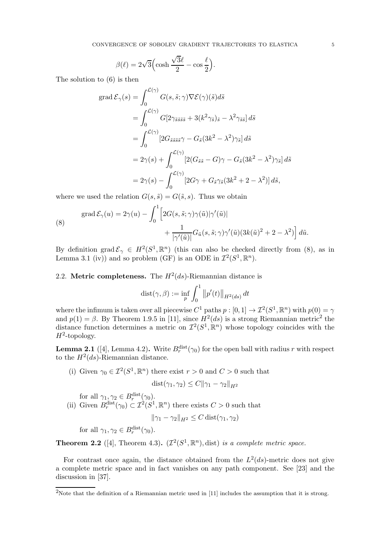$$
\beta(\ell) = 2\sqrt{3} \Big( \cosh \frac{\sqrt{3}\ell}{2} - \cos \frac{\ell}{2} \Big).
$$

The solution to [\(6\)](#page-3-0) is then

$$
\begin{split}\n\text{grad}\,\mathcal{E}_{\gamma}(s) &= \int_{0}^{\mathcal{L}(\gamma)} G(s,\tilde{s};\gamma) \nabla \mathcal{E}(\gamma)(\tilde{s}) d\tilde{s} \\
&= \int_{0}^{\mathcal{L}(\gamma)} G[2\gamma_{\tilde{s}\tilde{s}\tilde{s}\tilde{s}} + 3(k^2 \gamma_{\tilde{s}})_{\tilde{s}} - \lambda^2 \gamma_{\tilde{s}\tilde{s}}] \, d\tilde{s} \\
&= \int_{0}^{\mathcal{L}(\gamma)} [2G_{\tilde{s}\tilde{s}\tilde{s}\tilde{s}}\gamma - G_{\tilde{s}}(3k^2 - \lambda^2)\gamma_{\tilde{s}}] \, d\tilde{s} \\
&= 2\gamma(s) + \int_{0}^{\mathcal{L}(\gamma)} [2(G_{\tilde{s}\tilde{s}} - G)\gamma - G_{\tilde{s}}(3k^2 - \lambda^2)\gamma_{\tilde{s}}] \, d\tilde{s} \\
&= 2\gamma(s) - \int_{0}^{\mathcal{L}(\gamma)} [2G\gamma + G_{\tilde{s}}\gamma_{\tilde{s}}(3k^2 + 2 - \lambda^2)] \, d\tilde{s},\n\end{split}
$$

where we used the relation  $G(s, \tilde{s}) = G(\tilde{s}, s)$ . Thus we obtain

<span id="page-4-1"></span>(8) 
$$
\operatorname{grad} \mathcal{E}_{\gamma}(u) = 2\gamma(u) - \int_0^1 \left[ 2G(s, \tilde{s}; \gamma) \gamma(\tilde{u}) | \gamma'(\tilde{u})| + \frac{1}{|\gamma'(\tilde{u})|} G_{\tilde{u}}(s, \tilde{s}; \gamma) \gamma'(\tilde{u}) (3k(\tilde{u})^2 + 2 - \lambda^2) \right] d\tilde{u}.
$$

By definition grad  $\mathcal{E}_{\gamma} \in H^2(S^1, \mathbb{R}^n)$  (this can also be checked directly from [\(8\)](#page-4-1), as in Lemma [3.1](#page-5-2) (iv)) and so problem [\(GF\)](#page-1-0) is an ODE in  $\mathcal{I}^2(S^1,\mathbb{R}^n)$ .

# <span id="page-4-0"></span>2.2. Metric completeness. The  $H^2(ds)$ -Riemannian distance is

$$
dist(\gamma, \beta) := \inf_{p} \int_0^1 ||p'(t)||_{H^2(ds)} dt
$$

where the infimum is taken over all piecewise  $C^1$  paths  $p : [0, 1] \to \mathcal{I}^2(S^1, \mathbb{R}^n)$  with  $p(0) = \gamma$ and  $p(1) = \beta$ . By Theorem 1.9.5 in [\[11\]](#page-20-19), since  $H^2(ds)$  is a strong Riemannian metric<sup>2</sup> the distance function determines a metric on  $\mathcal{I}^2(S^1,\mathbb{R}^n)$  whose topology coincides with the  $H^2$ -topology.

<span id="page-4-3"></span>**Lemma 2.1** ([\[4\]](#page-20-14), Lemma 4.2). Write  $B_r^{\text{dist}}(\gamma_0)$  for the open ball with radius r with respect to the  $H^2(ds)$ -Riemannian distance.

(i) Given  $\gamma_0 \in \mathcal{I}^2(S^1,\mathbb{R}^n)$  there exist  $r > 0$  and  $C > 0$  such that

$$
dist(\gamma_1, \gamma_2) \le C ||\gamma_1 - \gamma_2||_{H^2}
$$

for all  $\gamma_1, \gamma_2 \in B_r^{\text{dist}}(\gamma_0)$ . (ii) Given  $B_r^{\text{dist}}(\gamma_0) \subset \mathcal{I}^2(S^1,\mathbb{R}^n)$  there exists  $C > 0$  such that  $\|\gamma_1 - \gamma_2\|_{H^2} \leq C \operatorname{dist}(\gamma_1, \gamma_2)$ 

for all  $\gamma_1, \gamma_2 \in B_r^{\text{dist}}(\gamma_0)$ .

<span id="page-4-2"></span>**Theorem 2.2** ([\[4\]](#page-20-14), Theorem 4.3).  $(\mathcal{I}^2(S^1,\mathbb{R}^n),\text{dist})$  is a complete metric space.

For contrast once again, the distance obtained from the  $L^2(ds)$ -metric does not give a complete metric space and in fact vanishes on any path component. See [\[23\]](#page-20-20) and the discussion in [\[37\]](#page-21-12).

<sup>&</sup>lt;sup>2</sup>Note that the definition of a Riemannian metric used in [\[11\]](#page-20-19) includes the assumption that it is strong.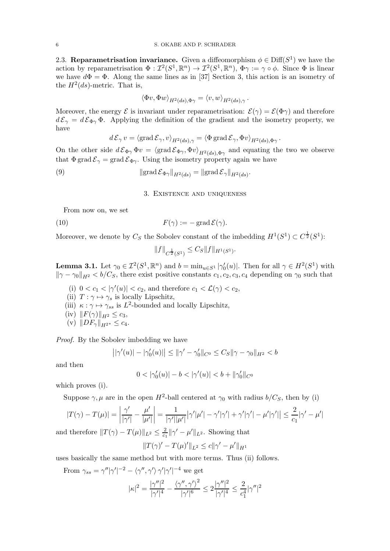<span id="page-5-0"></span>2.3. Reparametrisation invariance. Given a diffeomorphism  $\phi \in \text{Diff}(S^1)$  we have the action by reparametrisation  $\Phi: \mathcal{I}^2(S^1,\mathbb{R}^n) \to \mathcal{I}^2(S^1,\mathbb{R}^n)$ ,  $\Phi \gamma := \gamma \circ \phi$ . Since  $\Phi$  is linear we have  $d\Phi = \Phi$ . Along the same lines as in [\[37\]](#page-21-12) Section 3, this action is an isometry of the  $H^2(ds)$ -metric. That is,

$$
\langle \Phi v, \Phi w \rangle_{H^2(ds), \Phi \gamma} = \langle v, w \rangle_{H^2(ds), \gamma}.
$$

Moreover, the energy  $\mathcal E$  is invariant under reparametrisation:  $\mathcal E(\gamma) = \mathcal E(\Phi \gamma)$  and therefore  $d\mathcal{E}_{\gamma} = d\mathcal{E}_{\Phi\gamma} \Phi$ . Applying the definition of the gradient and the isometry property, we have

$$
d\mathcal{E}_{\gamma} v = \langle \text{grad}\,\mathcal{E}_{\gamma}, v \rangle_{H^2(ds), \gamma} = \langle \Phi \,\text{grad}\,\mathcal{E}_{\gamma}, \Phi v \rangle_{H^2(ds), \Phi \gamma}.
$$

On the other side  $d\mathcal{E}_{\Phi\gamma}\Phi v = \langle \text{grad}\,\mathcal{E}_{\Phi\gamma},\Phi v \rangle_{H^2(ds),\Phi\gamma}$  and equating the two we observe that  $\Phi$  grad  $\mathcal{E}_{\gamma} = \text{grad } \mathcal{E}_{\Phi \gamma}$ . Using the isometry property again we have

<span id="page-5-1"></span>(9)  $\|\operatorname{grad} \mathcal{E}_{\Phi \gamma}\|_{H^2(ds)} = \|\operatorname{grad} \mathcal{E}_{\gamma}\|_{H^2(ds)}.$ 

### <span id="page-5-4"></span>3. Existence and uniqueness

From now on, we set

(10) 
$$
F(\gamma) := -\operatorname{grad} \mathcal{E}(\gamma).
$$

Moreover, we denote by  $C_S$  the Sobolev constant of the imbedding  $H^1(S^1) \subset C^{\frac{1}{2}}(S^1)$ :

<span id="page-5-3"></span>
$$
||f||_{C^{\frac{1}{2}}(S^1)} \leq C_S ||f||_{H^1(S^1)}.
$$

<span id="page-5-2"></span>**Lemma 3.1.** Let  $\gamma_0 \in \mathcal{I}^2(S^1, \mathbb{R}^n)$  and  $b = \min_{u \in S^1} |\gamma'_0(u)|$ . Then for all  $\gamma \in H^2(S^1)$  with  $\|\gamma - \gamma_0\|_{H^2} < b/C_S$ , there exist positive constants  $c_1, c_2, c_3, c_4$  depending on  $\gamma_0$  such that

- (i)  $0 < c_1 < |\gamma'(u)| < c_2$ , and therefore  $c_1 < \mathcal{L}(\gamma) < c_2$ ,
- (ii)  $T : \gamma \mapsto \gamma_s$  is locally Lipschitz,
- (iii)  $\kappa : \gamma \mapsto \gamma_{ss}$  is  $L^2$ -bounded and locally Lipschitz,
- (iv)  $||F(\gamma)||_{H^2} \le c_3$ ,
- (v)  $||DF_{\gamma}||_{H^{2^{*}}} \leq c_4$ .

Proof. By the Sobolev imbedding we have

$$
||\gamma'(u)| - |\gamma'_0(u)| \le ||\gamma' - \gamma'_0||_{C^0} \le C_S ||\gamma - \gamma_0||_{H^2} < b
$$

and then

$$
0<|\gamma_0'(u)|-b<|\gamma'(u)|
$$

which proves (i).

Suppose  $\gamma$ ,  $\mu$  are in the open  $H^2$ -ball centered at  $\gamma_0$  with radius  $b/C_S$ , then by (i)

$$
|T(\gamma) - T(\mu)| = \left| \frac{\gamma'}{|\gamma'|} - \frac{\mu'}{|\mu'|} \right| = \frac{1}{|\gamma'||\mu'|} |\gamma'|\mu'| - \gamma'|\gamma'| + \gamma'|\gamma'| - \mu'|\gamma'|| \le \frac{2}{c_1} |\gamma' - \mu'|
$$

and therefore  $||T(\gamma) - T(\mu)||_{L^2} \leq \frac{2}{c_1}$  $\frac{2}{c_1}$   $\|\gamma' - \mu'\|_{L^2}$ . Showing that

$$
||T(\gamma)' - T(\mu)'||_{L^2} \le c||\gamma' - \mu'||_{H^1}
$$

2

uses basically the same method but with more terms. Thus (ii) follows.

From 
$$
\gamma_{ss} = \gamma'' |\gamma'|^{-2} - \langle \gamma'', \gamma' \rangle \gamma' |\gamma'|^{-4}
$$
 we get  

$$
|\kappa|^2 = \frac{|\gamma''|^2}{|\gamma'|^4} - \frac{\langle \gamma'', \gamma' \rangle^2}{|\gamma'|^6} \le 2 \frac{|\gamma''|^2}{|\gamma'|^4} \le \frac{2}{c_1^4} |\gamma''|
$$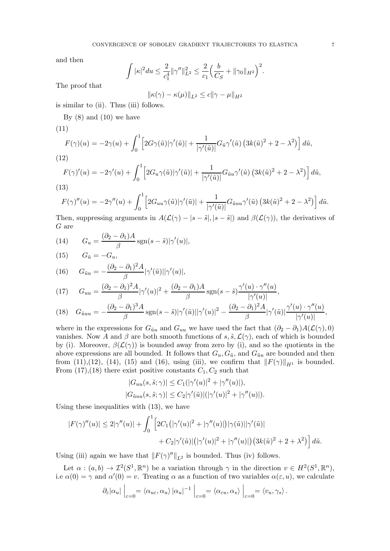and then

$$
\int |\kappa|^2 du \leq \frac{2}{c_1^4} ||\gamma''||_{L^2}^2 \leq \frac{2}{c_1} \Big(\frac{b}{C_S} + ||\gamma_0||_{H^2}\Big)^2.
$$

The proof that

$$
\|\kappa(\gamma) - \kappa(\mu)\|_{L^2} \le c\|\gamma - \mu\|_{H^2}
$$

is similar to (ii). Thus (iii) follows.

By  $(8)$  and  $(10)$  we have

<span id="page-6-0"></span>
$$
(11)
$$

$$
F(\gamma)(u) = -2\gamma(u) + \int_0^1 \left[2G\gamma(\tilde{u})|\gamma'(\tilde{u})| + \frac{1}{|\gamma'(\tilde{u})|}G_{\tilde{u}}\gamma'(\tilde{u})\left(3k(\tilde{u})^2 + 2 - \lambda^2\right)\right]d\tilde{u},
$$

<span id="page-6-1"></span>(12)

$$
F(\gamma)'(u) = -2\gamma'(u) + \int_0^1 \left[2G_u\gamma(\tilde{u})|\gamma'(\tilde{u})| + \frac{1}{|\gamma'(\tilde{u})|}G_{\tilde{u}u}\gamma'(\tilde{u})\left(3k(\tilde{u})^2 + 2 - \lambda^2\right)\right]d\tilde{u},
$$
\n(13)

<span id="page-6-7"></span>
$$
F(\gamma)''(u) = -2\gamma''(u) + \int_0^1 \left[2G_{uu}\gamma(\tilde{u})|\gamma'(\tilde{u})| + \frac{1}{|\gamma'(\tilde{u})|}G_{\tilde{u}uu}\gamma'(\tilde{u})\left(3k(\tilde{u})^2 + 2 - \lambda^2\right)\right]d\tilde{u}.
$$

Then, suppressing arguments in  $A(\mathcal{L}(\gamma) - |s - \tilde{s}|, |s - \tilde{s}|)$  and  $\beta(\mathcal{L}(\gamma))$ , the derivatives of G are

<span id="page-6-2"></span>(14) 
$$
G_u = \frac{(\partial_2 - \partial_1)A}{\beta} \operatorname{sgn}(s - \tilde{s}) |\gamma'(u)|,
$$

<span id="page-6-3"></span>(15) 
$$
G_{\tilde{u}} = -G_u,
$$

<span id="page-6-4"></span>(16) 
$$
G_{\tilde{u}u} = -\frac{(\partial_2 - \partial_1)^2 A}{\beta} |\gamma'(\tilde{u})||\gamma'(u)|,
$$

<span id="page-6-5"></span>(17) 
$$
G_{uu} = \frac{(\partial_2 - \partial_1)^2 A}{\beta} |\gamma'(u)|^2 + \frac{(\partial_2 - \partial_1) A}{\beta} \operatorname{sgn}(s - \tilde{s}) \frac{\gamma'(u) \cdot \gamma''(u)}{|\gamma'(u)|},
$$

<span id="page-6-6"></span>
$$
(18)\quad G_{\tilde{u}uu}=-\frac{(\partial_2-\partial_1)^3A}{\beta}\operatorname{sgn}(s-\tilde{s})|\gamma'(\tilde{u})||\gamma'(u)|^2-\frac{(\partial_2-\partial_1)^2A}{\beta}|\gamma'(\tilde{u})|\frac{\gamma'(u)\cdot\gamma''(u)}{|\gamma'(u)|},
$$

where in the expressions for  $G_{\tilde{u}u}$  and  $G_{uu}$  we have used the fact that  $(\partial_2 - \partial_1)A(\mathcal{L}(\gamma), 0)$ vanishes. Now A and  $\beta$  are both smooth functions of s,  $\tilde{s}$ ,  $\mathcal{L}(\gamma)$ , each of which is bounded by (i). Moreover,  $\beta(\mathcal{L}(\gamma))$  is bounded away from zero by (i), and so the quotients in the above expressions are all bounded. It follows that  $G_u, G_{\tilde{u}}$ , and  $G_{\tilde{u}u}$  are bounded and then from [\(11\)](#page-6-0),[\(12\)](#page-6-1), [\(14\)](#page-6-2), [\(15\)](#page-6-3) and [\(16\)](#page-6-4), using (iii), we confirm that  $||F(\gamma)||_{H^1}$  is bounded. From  $(17),(18)$  $(17),(18)$  there exist positive constants  $C_1, C_2$  such that

$$
|G_{uu}(s,\tilde{s};\gamma)| \leq C_1(|\gamma'(u)|^2 + |\gamma''(u)|),
$$
  

$$
|G_{\tilde{u}uu}(s,\tilde{s};\gamma)| \leq C_2|\gamma'(\tilde{u})|(|\gamma'(u)|^2 + |\gamma''(u)|).
$$

Using these inequalities with [\(13\)](#page-6-7), we have

$$
|F(\gamma)''(u)| \le 2|\gamma''(u)| + \int_0^1 \left[2C_1(|\gamma'(u)|^2 + |\gamma''(u)|)|\gamma(\tilde{u})||\gamma'(\tilde{u})| + C_2|\gamma'(\tilde{u})|(|\gamma'(u)|^2 + |\gamma''(u)|)(3k(\tilde{u})^2 + 2 + \lambda^2)\right]d\tilde{u}.
$$

Using (iii) again we have that  $||F(\gamma)^{\prime\prime}||_{L^2}$  is bounded. Thus (iv) follows.

Let  $\alpha : (a, b) \to \mathcal{I}^2(S^1, \mathbb{R}^n)$  be a variation through  $\gamma$  in the direction  $v \in H^2(S^1, \mathbb{R}^n)$ , i.e  $\alpha(0) = \gamma$  and  $\alpha'(0) = v$ . Treating  $\alpha$  as a function of two variables  $\alpha(\varepsilon, u)$ , we calculate

$$
\partial_{\varepsilon}|\alpha_{u}| \Big|_{\varepsilon=0} = \langle \alpha_{u\varepsilon}, \alpha_{u} \rangle |\alpha_{u}|^{-1} \Big|_{\varepsilon=0} = \langle \alpha_{\varepsilon u}, \alpha_{s} \rangle \Big|_{\varepsilon=0} = \langle v_{u}, \gamma_{s} \rangle.
$$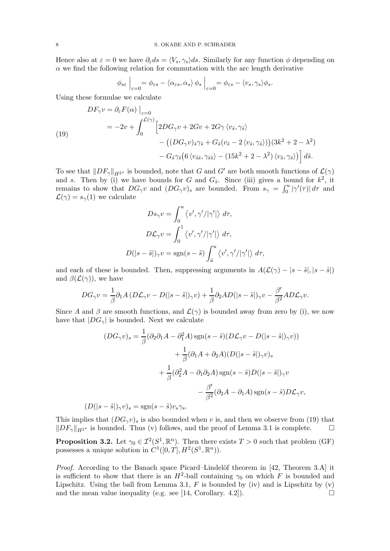Hence also at  $\varepsilon = 0$  we have  $\partial_{\varepsilon} ds = \langle V_s, \gamma_s \rangle ds$ . Similarly for any function  $\phi$  depending on  $\alpha$  we find the following relation for commutation with the arc length derivative

$$
\phi_{s\varepsilon}\Big|_{\varepsilon=0} = \phi_{\varepsilon s} - \langle \alpha_{\varepsilon s}, \alpha_s \rangle \phi_s \Big|_{\varepsilon=0} = \phi_{\varepsilon s} - \langle v_s, \gamma_s \rangle \phi_s.
$$

Using these formulae we calculate

<span id="page-7-1"></span>
$$
DF_{\gamma}v = \partial_{\varepsilon}F(\alpha)\Big|_{\varepsilon=0}
$$
  
=  $-2v + \int_0^{\mathcal{L}(\gamma)} \Big[2DG_{\gamma}v + 2Gv + 2G\gamma \langle v_{\tilde{s}}, \gamma_{\tilde{s}}\rangle$   
 $- \big((DG_{\gamma}v)_{\tilde{s}}\gamma_{\tilde{s}} + G_{\tilde{s}}(v_{\tilde{s}} - 2\langle v_{\tilde{s}}, \gamma_{\tilde{s}}\rangle)\big)(3k^2 + 2 - \lambda^2)$   
 $- G_{\tilde{s}}\gamma_{\tilde{s}}(6\langle v_{\tilde{s}\tilde{s}}, \gamma_{\tilde{s}\tilde{s}}\rangle - (15k^2 + 2 - \lambda^2)\langle v_{\tilde{s}}, \gamma_{\tilde{s}}\rangle)\Big] d\tilde{s}.$ 

To see that  $||DF_{\gamma}||_{H^{2^*}}$  is bounded, note that G and G' are both smooth functions of  $\mathcal{L}(\gamma)$ and s. Then by (i) we have bounds for G and  $G_{\tilde{s}}$ . Since (iii) gives a bound for  $k^2$ , it remains to show that  $DG_\gamma v$  and  $(DG_\gamma v)_s$  are bounded. From  $s_\gamma = \int_0^u |\gamma'(\tau)| d\tau$  and  $\mathcal{L}(\gamma) = s_{\gamma}(1)$  we calculate

$$
Ds_{\gamma}v = \int_0^u \langle v', \gamma'/|\gamma'|\rangle \, d\tau,
$$
  

$$
D\mathcal{L}_{\gamma}v = \int_0^1 \langle v', \gamma'/|\gamma'|\rangle \, d\tau,
$$
  

$$
D(|s-\tilde{s}|)_{\gamma}v = \text{sgn}(s-\tilde{s})\int_{\tilde{u}}^u \langle v', \gamma'/|\gamma'|\rangle \, d\tau,
$$

and each of these is bounded. Then, suppressing arguments in  $A(\mathcal{L}(\gamma) - |s - \tilde{s}|, |s - \tilde{s}|)$ and  $\beta(\mathcal{L}(\gamma))$ , we have

$$
DG_{\gamma}v=\frac{1}{\beta}\partial_{1}A\left(D\mathcal{L}_{\gamma}v-D(|s-\tilde{s}|)_{\gamma}v\right)+\frac{1}{\beta}\partial_{2}AD(|s-\tilde{s}|)_{\gamma}v-\frac{\beta'}{\beta^{2}}AD\mathcal{L}_{\gamma}v.
$$

Since A and  $\beta$  are smooth functions, and  $\mathcal{L}(\gamma)$  is bounded away from zero by (i), we now have that  $|DG_{\gamma}|$  is bounded. Next we calculate

$$
(DG_{\gamma}v)_{s} = \frac{1}{\beta}(\partial_{2}\partial_{1}A - \partial_{1}^{2}A)\operatorname{sgn}(s - \tilde{s})(D\mathcal{L}_{\gamma}v - D(|s - \tilde{s}|)_{\gamma}v))
$$

$$
+ \frac{1}{\beta}(\partial_{1}A + \partial_{2}A)(D(|s - \tilde{s}|)_{\gamma}v)_{s}
$$

$$
+ \frac{1}{\beta}(\partial_{2}^{2}A - \partial_{1}\partial_{2}A)\operatorname{sgn}(s - \tilde{s})D(|s - \tilde{s}|)_{\gamma}v
$$

$$
- \frac{\beta'}{\beta^{2}}(\partial_{2}A - \partial_{1}A)\operatorname{sgn}(s - \tilde{s})D\mathcal{L}_{\gamma}v,
$$

$$
(D(|s - \tilde{s}|)_{\gamma}v)_{s} = \operatorname{sgn}(s - \tilde{s})v_{s}\gamma_{s}.
$$

This implies that  $(DG_{\gamma}v)_{s}$  is also bounded when v is, and then we observe from [\(19\)](#page-7-1) that  $||DF_{\gamma}||_{H^{2^*}}$  is bounded. Thus (v) follows, and the proof of Lemma [3.1](#page-5-2) is complete.  $\square$ 

<span id="page-7-0"></span>**Proposition 3.2.** Let  $\gamma_0 \in \mathcal{I}^2(S^1, \mathbb{R}^n)$ . Then there exists  $T > 0$  such that problem [\(GF\)](#page-1-0) possesses a unique solution in  $C^1([0,T], H^2(S^1, \mathbb{R}^n))$ .

*Proof.* According to the Banach space Picard–Lindelöf theorem in [\[42,](#page-21-14) Theorem 3.A] it is sufficient to show that there is an  $H^2$ -ball containing  $\gamma_0$  on which F is bounded and Lipschitz. Using the ball from Lemma [3.1,](#page-5-2)  $F$  is bounded by (iv) and is Lipschitz by (v) and the mean value inequality (e.g. see [\[14,](#page-20-21) Corollary. 4.2]).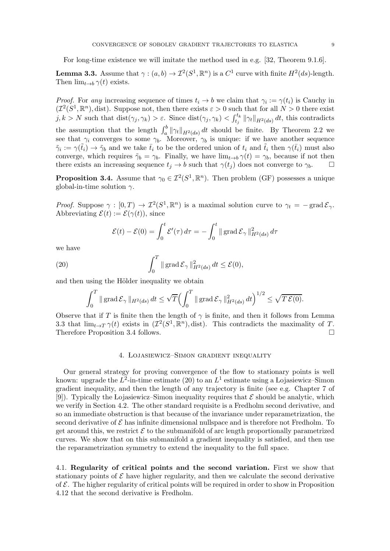For long-time existence we will imitate the method used in e.g. [\[32,](#page-21-11) Theorem 9.1.6].

<span id="page-8-2"></span>**Lemma 3.3.** Assume that  $\gamma : (a, b) \to \mathcal{I}^2(S^1, \mathbb{R}^n)$  is a  $C^1$  curve with finite  $H^2(ds)$ -length. Then  $\lim_{t\to b} \gamma(t)$  exists.

*Proof.* For any increasing sequence of times  $t_i \to b$  we claim that  $\gamma_i := \gamma(t_i)$  is Cauchy in  $(\mathcal{I}^2(S^1,\mathbb{R}^n),$  dist). Suppose not, then there exists  $\varepsilon > 0$  such that for all  $N > 0$  there exist  $j, k > N$  such that  $dist(\gamma_j, \gamma_k) > \varepsilon$ . Since  $dist(\gamma_j, \gamma_k) < \int_{t_j}^{t_k} ||\gamma_t||_{H^2(ds)} dt$ , this contradicts the assumption that the length  $\int_a^b \|\gamma_t\|_{H^2(ds)} dt$  should be finite. By Theorem [2.2](#page-4-2) we see that  $\gamma_i$  converges to some  $\gamma_b$ . Moreover,  $\gamma_b$  is unique: if we have another sequence  $\tilde{\gamma}_i := \gamma(\tilde{t}_i) \to \tilde{\gamma}_b$  and we take  $\bar{t}_i$  to be the ordered union of  $t_i$  and  $\tilde{t}_i$  then  $\gamma(\bar{t}_i)$  must also converge, which requires  $\tilde{\gamma}_b = \gamma_b$ . Finally, we have  $\lim_{t\to b} \gamma(t) = \gamma_b$ , because if not then there exists an increasing sequence  $t_i \to b$  such that  $\gamma(t_i)$  does not converge to  $\gamma_b$ .

<span id="page-8-3"></span>**Proposition 3.4.** Assume that  $\gamma_0 \in \mathcal{I}^2(S^1,\mathbb{R}^n)$ . Then problem [\(GF\)](#page-1-0) possesses a unique global-in-time solution  $\gamma$ .

Proof. Suppose  $\gamma : [0, T) \to \mathcal{I}^2(S^1, \mathbb{R}^n)$  is a maximal solution curve to  $\gamma_t = -\text{grad}\,\mathcal{E}_{\gamma}$ . Abbreviating  $\mathcal{E}(t) := \mathcal{E}(\gamma(t))$ , since

<span id="page-8-4"></span>
$$
\mathcal{E}(t) - \mathcal{E}(0) = \int_0^t \mathcal{E}'(\tau) d\tau = -\int_0^t ||\operatorname{grad} \mathcal{E}_{\gamma}||_{H^2(ds)}^2 d\tau
$$

we have

(20) 
$$
\int_0^T \|\operatorname{grad} \mathcal{E}_{\gamma}\|_{H^2(ds)}^2 dt \leq \mathcal{E}(0),
$$

and then using the Hölder inequality we obtain

$$
\int_0^T \|\operatorname{grad} \mathcal{E}_{\gamma}\|_{H^2(ds)} dt \le \sqrt{T} \Bigl( \int_0^T \|\operatorname{grad} \mathcal{E}_{\gamma}\|_{H^2(ds)}^2 dt \Bigr)^{1/2} \le \sqrt{T} \mathcal{E}(0).
$$

Observe that if T is finite then the length of  $\gamma$  is finite, and then it follows from Lemma [3.3](#page-8-2) that  $\lim_{t\to T}\gamma(t)$  exists in  $(\mathcal{I}^2(S^1,\mathbb{R}^n),$  dist). This contradicts the maximality of T. Therefore Proposition [3.4](#page-8-3) follows.

### 4. Lojasiewicz–Simon gradient inequality

<span id="page-8-0"></span>Our general strategy for proving convergence of the flow to stationary points is well known: upgrade the  $L^2$ -in-time estimate [\(20\)](#page-8-4) to an  $L^1$  estimate using a Lojasiewicz–Simon gradient inequality, and then the length of any trajectory is finite (see e.g. Chapter 7 of [\[9\]](#page-20-22)). Typically the Lojasiewicz–Simon inequality requires that  $\mathcal E$  should be analytic, which we verify in Section [4.2.](#page-10-0) The other standard requisite is a Fredholm second derivative, and so an immediate obstruction is that because of the invariance under reparametrization, the second derivative of  $\mathcal E$  has infinite dimensional nullspace and is therefore not Fredholm. To get around this, we restrict  $\mathcal E$  to the submanifold of arc length proportionally parametrized curves. We show that on this submanifold a gradient inequality is satisfied, and then use the reparametrization symmetry to extend the inequality to the full space.

<span id="page-8-1"></span>4.1. Regularity of critical points and the second variation. First we show that stationary points of  $\mathcal E$  have higher regularity, and then we calculate the second derivative of  $\mathcal E$ . The higher regularity of critical points will be required in order to show in Proposition [4.12](#page-14-1) that the second derivative is Fredholm.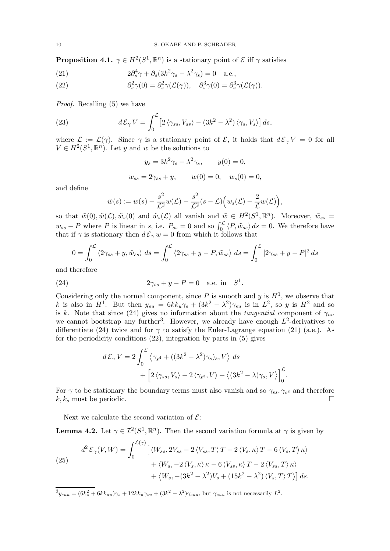<span id="page-9-4"></span>**Proposition 4.1.**  $\gamma \in H^2(S^1, \mathbb{R}^n)$  is a stationary point of  $\mathcal E$  iff  $\gamma$  satisfies

<span id="page-9-1"></span>(21) 
$$
2\partial_s^4 \gamma + \partial_s (3k^2 \gamma_s - \lambda^2 \gamma_s) = 0 \quad \text{a.e.,}
$$

<span id="page-9-2"></span>(22) 
$$
\partial_s^2 \gamma(0) = \partial_s^2 \gamma(\mathcal{L}(\gamma)), \quad \partial_s^3 \gamma(0) = \partial_s^3 \gamma(\mathcal{L}(\gamma)).
$$

Proof. Recalling [\(5\)](#page-3-2) we have

(23) 
$$
d\mathcal{E}_{\gamma} V = \int_0^{\mathcal{L}} \left[ 2 \langle \gamma_{ss}, V_{ss} \rangle - (3k^2 - \lambda^2) \langle \gamma_s, V_s \rangle \right] ds,
$$

where  $\mathcal{L} := \mathcal{L}(\gamma)$ . Since  $\gamma$  is a stationary point of  $\mathcal{E}$ , it holds that  $d\mathcal{E}_{\gamma}V = 0$  for all  $V \in H^2(S^1, \mathbb{R}^n)$ . Let y and w be the solutions to

$$
y_s = 3k^2 \gamma_s - \lambda^2 \gamma_s, \qquad y(0) = 0,
$$
  
 $w_{ss} = 2\gamma_{ss} + y, \qquad w(0) = 0, \qquad w_s(0) = 0,$ 

and define

$$
\tilde{w}(s) := w(s) - \frac{s^2}{\mathcal{L}^2} w(\mathcal{L}) - \frac{s^2}{\mathcal{L}^2} (s - \mathcal{L}) \Big( w_s(\mathcal{L}) - \frac{2}{\mathcal{L}} w(\mathcal{L}) \Big),
$$

so that  $\tilde{w}(0), \tilde{w}(\mathcal{L}), \tilde{w}_s(0)$  and  $\tilde{w}_s(\mathcal{L})$  all vanish and  $\tilde{w} \in H^2(S^1, \mathbb{R}^n)$ . Moreover,  $\tilde{w}_{ss} =$  $w_{ss} - P$  where P is linear in s, i.e.  $P_{ss} = 0$  and so  $\int_0^{\mathcal{L}} \langle P, \tilde{w}_{ss} \rangle ds = 0$ . We therefore have that if  $\gamma$  is stationary then  $d\mathcal{E}_{\gamma} w = 0$  from which it follows that

$$
0 = \int_0^{\mathcal{L}} \langle 2\gamma_{ss} + y, \tilde{w}_{ss} \rangle \, ds = \int_0^{\mathcal{L}} \langle 2\gamma_{ss} + y - P, \tilde{w}_{ss} \rangle \, ds = \int_0^{\mathcal{L}} |2\gamma_{ss} + y - P|^2 \, ds
$$

.

.

and therefore

(24) 
$$
2\gamma_{ss} + y - P = 0
$$
 a.e. in  $S^1$ 

Considering only the normal component, since P is smooth and y is  $H<sup>1</sup>$ , we observe that k is also in  $H^1$ . But then  $y_{su} = 6kk_u\gamma_s + (3k^2 - \lambda^2)\gamma_{su}$  is in  $L^2$ , so y is  $H^2$  and so is k. Note that since [\(24\)](#page-9-0) gives no information about the tangential component of  $\gamma_{uu}$ we cannot bootstrap any further<sup>3</sup>. However, we already have enough  $L^2$ -derivatives to differentiate [\(24\)](#page-9-0) twice and for  $\gamma$  to satisfy the Euler-Lagrange equation [\(21\)](#page-9-1) (a.e.). As for the periodicity conditions [\(22\)](#page-9-2), integration by parts in [\(5\)](#page-3-2) gives

<span id="page-9-0"></span>
$$
d\mathcal{E}_{\gamma} V = 2 \int_0^{\mathcal{L}} \langle \gamma_{s^4} + ((3k^2 - \lambda^2)\gamma_s)_s, V \rangle ds
$$
  
+ 
$$
\left[ 2 \langle \gamma_{ss}, V_s \rangle - 2 \langle \gamma_{s^3}, V \rangle + \langle (3k^2 - \lambda)\gamma_s, V \rangle \right]_0^{\mathcal{L}}
$$

For  $\gamma$  to be stationary the boundary terms must also vanish and so  $\gamma_{ss}, \gamma_{s^3}$  and therefore  $k, k_s$  must be periodic.

Next we calculate the second variation of  $\mathcal{E}$ :

<span id="page-9-3"></span>**Lemma 4.2.** Let  $\gamma \in \mathcal{I}^2(S^1,\mathbb{R}^n)$ . Then the second variation formula at  $\gamma$  is given by

<span id="page-9-5"></span>(25)  
\n
$$
d^{2} \mathcal{E}_{\gamma}(V, W) = \int_{0}^{\mathcal{L}(\gamma)} \left[ \langle W_{ss}, 2V_{ss} - 2 \langle V_{ss}, T \rangle T - 2 \langle V_{s}, \kappa \rangle T - 6 \langle V_{s}, T \rangle \kappa \rangle + \langle W_{s}, -2 \langle V_{s}, \kappa \rangle \kappa - 6 \langle V_{ss}, \kappa \rangle T - 2 \langle V_{ss}, T \rangle \kappa \rangle + \langle W_{s}, -(3k^{2} - \lambda^{2})V_{s} + (15k^{2} - \lambda^{2}) \langle V_{s}, T \rangle T \rangle \right] ds.
$$

 ${}^3y_{suu} = (6k_u^2 + 6kk_{uu})\gamma_s + 12kk_u\gamma_{su} + (3k^2 - \lambda^2)\gamma_{suu},$  but  $\gamma_{suu}$  is not necessarily  $L^2$ .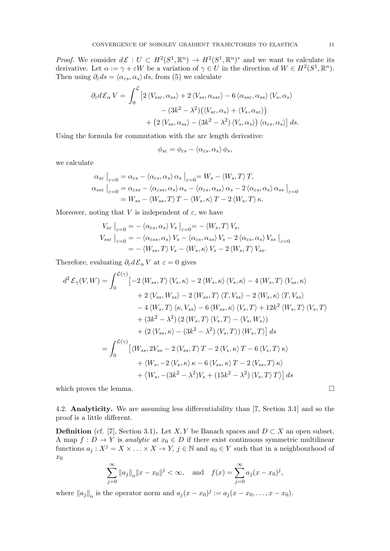*Proof.* We consider  $d\mathcal{E}: U \subset H^2(S^1,\mathbb{R}^n) \to H^2(S^1,\mathbb{R}^n)^*$  and we want to calculate its derivative. Let  $\alpha := \gamma + \varepsilon W$  be a variation of  $\gamma \in U$  in the direction of  $W \in H^2(S^1, \mathbb{R}^n)$ . Then using  $\partial_{\varepsilon} ds = \langle \alpha_{\varepsilon s}, \alpha_s \rangle ds$ , from [\(5\)](#page-3-2) we calculate

$$
\partial_{\varepsilon} d\mathcal{E}_{\alpha} V = \int_{0}^{\mathcal{L}} \left[ 2 \langle V_{ss\varepsilon}, \alpha_{ss} \rangle + 2 \langle V_{ss}, \alpha_{ss\varepsilon} \rangle - 6 \langle \alpha_{ss\varepsilon}, \alpha_{ss} \rangle \langle V_{s}, \alpha_{s} \rangle \right. \\ \left. - (3k^{2} - \lambda^{2}) \big( \langle V_{s\varepsilon}, \alpha_{s} \rangle + \langle V_{s}, \alpha_{s\varepsilon} \rangle \big) \right. \\ \left. + \left( 2 \langle V_{ss}, \alpha_{ss} \rangle - (3k^{2} - \lambda^{2}) \langle V_{s}, \alpha_{s} \rangle \right) \langle \alpha_{\varepsilon s}, \alpha_{s} \rangle \right] ds.
$$

Using the formula for commutation with the arc length derivative:

$$
\phi_{s\varepsilon} = \phi_{\varepsilon s} - \langle \alpha_{\varepsilon s}, \alpha_s \rangle \phi_s,
$$

we calculate

$$
\alpha_{s\varepsilon} \Big|_{\varepsilon=0} = \alpha_{\varepsilon s} - \langle \alpha_{\varepsilon s}, \alpha_s \rangle \alpha_s \Big|_{\varepsilon=0} = W_s - \langle W_s, T \rangle T,
$$
  
\n
$$
\alpha_{s s \varepsilon} \Big|_{\varepsilon=0} = \alpha_{\varepsilon s s} - \langle \alpha_{\varepsilon s s}, \alpha_s \rangle \alpha_s - \langle \alpha_{\varepsilon s}, \alpha_{s s} \rangle \alpha_s - 2 \langle \alpha_{\varepsilon s}, \alpha_s \rangle \alpha_{s s} \Big|_{\varepsilon=0}
$$
  
\n
$$
= W_{s s} - \langle W_{s s}, T \rangle T - \langle W_s, \kappa \rangle T - 2 \langle W_s, T \rangle \kappa.
$$

Moreover, noting that V is independent of  $\varepsilon$ , we have

$$
V_{s\varepsilon}\Big|_{\varepsilon=0} = -\langle \alpha_{\varepsilon s}, \alpha_s \rangle V_s \Big|_{\varepsilon=0} = -\langle W_s, T \rangle V_s,
$$
  
\n
$$
V_{s s \varepsilon}\Big|_{\varepsilon=0} = -\langle \alpha_{\varepsilon s s}, \alpha_s \rangle V_s - \langle \alpha_{\varepsilon s}, \alpha_{s s} \rangle V_s - 2 \langle \alpha_{\varepsilon s}, \alpha_s \rangle V_{s s} \Big|_{\varepsilon=0}
$$
  
\n
$$
= -\langle W_{s s}, T \rangle V_s - \langle W_s, \kappa \rangle V_s - 2 \langle W_s, T \rangle V_{s s}.
$$

Therefore, evaluating  $\partial_{\varepsilon} d\mathcal{E}_{\alpha} V$  at  $\varepsilon = 0$  gives

$$
d^{2} \mathcal{E}_{\gamma}(V, W) = \int_{0}^{\mathcal{L}(\gamma)} \left[ -2 \left\langle W_{ss}, T \right\rangle \left\langle V_{s}, \kappa \right\rangle - 2 \left\langle W_{s}, \kappa \right\rangle \left\langle V_{s}, \kappa \right\rangle - 4 \left\langle W_{s}, T \right\rangle \left\langle V_{ss}, \kappa \right\rangle \right] + 2 \left\langle V_{ss}, W_{ss} \right\rangle - 2 \left\langle W_{ss}, T \right\rangle \left\langle T, V_{ss} \right\rangle - 2 \left\langle W_{s}, \kappa \right\rangle \left\langle T, V_{ss} \right\rangle - 4 \left\langle W_{s}, T \right\rangle \left\langle \kappa, V_{ss} \right\rangle - 6 \left\langle W_{ss}, \kappa \right\rangle \left\langle V_{s}, T \right\rangle + 12k^{2} \left\langle W_{s}, T \right\rangle \left\langle V_{s}, T \right\rangle + (3k^{2} - \lambda^{2}) \left( 2 \left\langle W_{s}, T \right\rangle \left\langle V_{s}, T \right\rangle - \left\langle V_{s}, W_{s} \right\rangle \right) + (2 \left\langle V_{ss}, \kappa \right\rangle - (3k^{2} - \lambda^{2}) \left\langle V_{s}, T \right\rangle) \left\langle W_{s}, T \right\rangle \right] ds = \int_{0}^{\mathcal{L}(\gamma)} \left[ \left\langle W_{ss}, 2V_{ss} - 2 \left\langle V_{ss}, T \right\rangle T - 2 \left\langle V_{s}, \kappa \right\rangle T - 6 \left\langle V_{s}, T \right\rangle \kappa \right\rangle + \left\langle W_{s}, -2 \left\langle V_{s}, \kappa \right\rangle \kappa - 6 \left\langle V_{ss}, \kappa \right\rangle T - 2 \left\langle V_{ss}, T \right\rangle \kappa \right\rangle + \left\langle W_{s}, -(3k^{2} - \lambda^{2})V_{s} + (15k^{2} - \lambda^{2}) \left\langle V_{s}, T \right\rangle T \right\rangle \right] ds
$$

<span id="page-10-0"></span>which proves the lemma.  $\Box$ 

4.2. Analyticity. We are assuming less differentiability than [\[7,](#page-20-12) Section 3.1] and so the proof is a little different.

**Definition** (cf. [\[7\]](#page-20-12), Section 3.1). Let X, Y be Banach spaces and  $D \subset X$  an open subset. A map  $f: D \to Y$  is analytic at  $x_0 \in D$  if there exist continuous symmetric multilinear functions  $a_j: X^j = X \times \ldots \times X \to Y$ ,  $j \in \mathbb{N}$  and  $a_0 \in Y$  such that in a neighbourhood of  $x_0$ 

$$
\sum_{j=0}^{\infty} ||a_j||_{\text{o}} ||x - x_0||^j < \infty, \quad \text{and} \quad f(x) = \sum_{j=0}^{\infty} a_j (x - x_0)^j,
$$

where  $||a_j||$  is the operator norm and  $a_j(x-x_0)^j := a_j(x-x_0, \ldots, x-x_0)$ .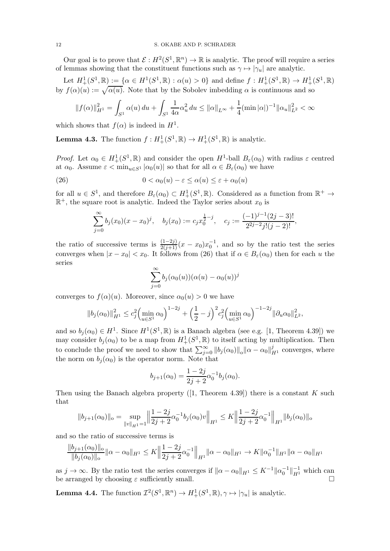Our goal is to prove that  $\mathcal{E}: H^2(S^1, \mathbb{R}^n) \to \mathbb{R}$  is analytic. The proof will require a series of lemmas showing that the constituent functions such as  $\gamma \mapsto |\gamma_u|$  are analytic.

Let  $H^1_+(S^1,\mathbb{R}) := \{ \alpha \in H^1(S^1,\mathbb{R}) : \alpha(u) > 0 \}$  and define  $f : H^1_+(S^1,\mathbb{R}) \to H^1_+(S^1,\mathbb{R})$ by  $f(\alpha)(u) := \sqrt{\alpha(u)}$ . Note that by the Sobolev imbedding  $\alpha$  is continuous and so

$$
||f(\alpha)||_{H^1}^2 = \int_{S^1} \alpha(u) \, du + \int_{S^1} \frac{1}{4\alpha} \alpha_u^2 \, du \le ||\alpha||_{L^\infty} + \frac{1}{4} (\min |\alpha|)^{-1} ||\alpha_u||_{L^2}^2 < \infty
$$

which shows that  $f(\alpha)$  is indeed in  $H^1$ .

<span id="page-11-1"></span>**Lemma 4.3.** The function  $f: H^1_+(S^1, \mathbb{R}) \to H^1_+(S^1, \mathbb{R})$  is analytic.

Proof. Let  $\alpha_0 \in H^1_+(S^1,\mathbb{R})$  and consider the open  $H^1$ -ball  $B_\varepsilon(\alpha_0)$  with radius  $\varepsilon$  centred at  $\alpha_0$ . Assume  $\varepsilon < \min_{u \in S^1} |\alpha_0(u)|$  so that for all  $\alpha \in B_{\varepsilon}(\alpha_0)$  we have

(26) 
$$
0 < \alpha_0(u) - \varepsilon \le \alpha(u) \le \varepsilon + \alpha_0(u)
$$

for all  $u \in S^1$ , and therefore  $B_\varepsilon(\alpha_0) \subset H^1_+(S^1,\mathbb{R})$ . Considered as a function from  $\mathbb{R}^+ \to$  $\mathbb{R}^+$ , the square root is analytic. Indeed the Taylor series about  $x_0$  is

<span id="page-11-0"></span>
$$
\sum_{j=0}^{\infty} b_j(x_0)(x-x_0)^j, \quad b_j(x_0) := c_j x_0^{\frac{1}{2}-j}, \quad c_j := \frac{(-1)^{j-1}(2j-3)!}{2^{2j-2}j!(j-2)!},
$$

the ratio of successive terms is  $\frac{(1-2j)}{2(j+1)}(x-x_0)x_0^{-1}$ , and so by the ratio test the series converges when  $|x - x_0| < x_0$ . It follows from [\(26\)](#page-11-0) that if  $\alpha \in B_{\varepsilon}(\alpha_0)$  then for each u the series

$$
\sum_{j=0}^{\infty} b_j(\alpha_0(u))(\alpha(u) - \alpha_0(u))^j
$$

converges to  $f(\alpha)(u)$ . Moreover, since  $\alpha_0(u) > 0$  we have

$$
||b_j(\alpha_0)||_{H^1}^2 \le c_j^2 \left(\min_{u \in S^1} \alpha_0\right)^{1-2j} + \left(\frac{1}{2} - j\right)^2 c_j^2 \left(\min_{u \in S^1} \alpha_0\right)^{-1-2j} ||\partial_u \alpha_0||_{L^2}^2,
$$

and so  $b_j(\alpha_0) \in H^1$ . Since  $H^1(S^1,\mathbb{R})$  is a Banach algebra (see e.g. [\[1,](#page-20-23) Theorem 4.39]) we may consider  $b_j(\alpha_0)$  to be a map from  $H^1_+(S^1,\mathbb{R})$  to itself acting by multiplication. Then to conclude the proof we need to show that  $\sum_{j=0}^{\infty} ||b_j(\alpha_0)||_{\alpha} ||\alpha - \alpha_0||_{H^1}^j$  converges, where the norm on  $b_i(\alpha_0)$  is the operator norm. Note that

$$
b_{j+1}(\alpha_0) = \frac{1-2j}{2j+2} \alpha_0^{-1} b_j(\alpha_0).
$$

Then using the Banach algebra property  $([1,$  $([1,$  Theorem 4.39]) there is a constant K such that

$$
||b_{j+1}(\alpha_0)||_{\infty} = \sup_{||v||_{H^1} = 1} \left\| \frac{1-2j}{2j+2} \alpha_0^{-1} b_j(\alpha_0) v \right\|_{H^1} \le K \left\| \frac{1-2j}{2j+2} \alpha_0^{-1} \right\|_{H^1} ||b_j(\alpha_0)||_{\infty}
$$

and so the ratio of successive terms is

$$
\frac{\|b_{j+1}(\alpha_0)\|_{\alpha}}{\|b_j(\alpha_0)\|_{\alpha}} \|\alpha - \alpha_0\|_{H^1} \leq K \left\|\frac{1-2j}{2j+2}\alpha_0^{-1}\right\|_{H^1} \|\alpha - \alpha_0\|_{H^1} \to K \|\alpha_0^{-1}\|_{H^1} \|\alpha - \alpha_0\|_{H^1}
$$

as  $j \to \infty$ . By the ratio test the series converges if  $\|\alpha - \alpha_0\|_{H^1} \leq K^{-1} \|\alpha_0^{-1}\|_{H^1}^{-1}$  which can be arranged by choosing  $\varepsilon$  sufficiently small.

<span id="page-11-2"></span>**Lemma 4.4.** The function  $\mathcal{I}^2(S^1,\mathbb{R}^n) \to H^1_+(S^1,\mathbb{R}), \gamma \mapsto |\gamma_u|$  is analytic.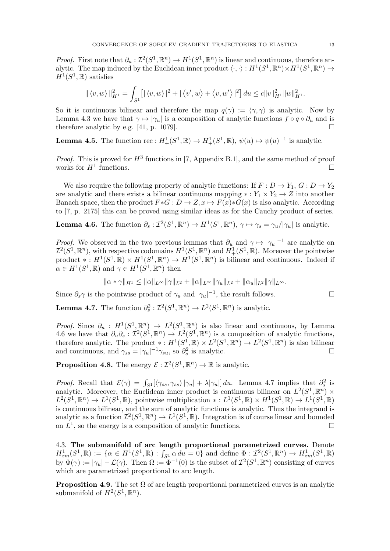*Proof.* First note that  $\partial_u : \mathcal{I}^2(S^1,\mathbb{R}^n) \to H^1(S^1,\mathbb{R}^n)$  is linear and continuous, therefore analytic. The map induced by the Euclidean inner product  $\langle \cdot, \cdot \rangle : H^1(S^1, \mathbb{R}^n) \times H^1(S^1, \mathbb{R}^n) \to$  $H^1(S^1,\mathbb{R})$  satisfies

$$
\| \langle v, w \rangle \|_{H^1}^2 = \int_{S^1} [ | \langle v, w \rangle |^2 + | \langle v', w \rangle + \langle v, w' \rangle |^2 ] du \leq c \|v\|_{H^1}^2 \|w\|_{H^1}^2.
$$

So it is continuous bilinear and therefore the map  $q(\gamma) := \langle \gamma, \gamma \rangle$  is analytic. Now by Lemma [4.3](#page-11-1) we have that  $\gamma \mapsto |\gamma_u|$  is a composition of analytic functions  $f \circ q \circ \partial_u$  and is therefore analytic by e.g. [\[41,](#page-21-15) p. 1079].

**Lemma 4.5.** The function rec :  $H^1_+(S^1,\mathbb{R}) \to H^1_+(S^1,\mathbb{R})$ ,  $\psi(u) \mapsto \psi(u)^{-1}$  is analytic.

*Proof.* This is proved for  $H^3$  functions in [\[7,](#page-20-12) Appendix B.1], and the same method of proof works for  $H^1$  functions. functions.

We also require the following property of analytic functions: If  $F : D \to Y_1, G : D \to Y_2$ are analytic and there exists a bilinear continuous mapping  $* : Y_1 \times Y_2 \to Z$  into another Banach space, then the product  $F * G : D \to Z$ ,  $x \mapsto F(x) * G(x)$  is also analytic. According to [\[7,](#page-20-12) p. 2175] this can be proved using similar ideas as for the Cauchy product of series.

<span id="page-12-1"></span>**Lemma 4.6.** The function 
$$
\partial_s : \mathcal{I}^2(S^1, \mathbb{R}^n) \to H^1(S^1, \mathbb{R}^n)
$$
,  $\gamma \mapsto \gamma_s = \gamma_u/|\gamma_u|$  is analytic.

*Proof.* We observed in the two previous lemmas that  $\partial_u$  and  $\gamma \mapsto |\gamma_u|^{-1}$  are analytic on  $\mathcal{I}^2(S^1,\mathbb{R}^n)$ , with respective codomains  $H^1(S^1,\mathbb{R}^n)$  and  $H^1_+(S^1,\mathbb{R})$ . Moreover the pointwise product \*:  $H^1(S^1,\mathbb{R}) \times H^1(S^1,\mathbb{R}^n) \to H^1(S^1,\mathbb{R}^n)$  is bilinear and continuous. Indeed if  $\alpha \in H^1(S^1, \mathbb{R})$  and  $\gamma \in H^1(S^1, \mathbb{R}^n)$  then

$$
\|\alpha * \gamma\|_{H^1} \le \|\alpha\|_{L^\infty} \|\gamma\|_{L^2} + \|\alpha\|_{L^\infty} \|\gamma_u\|_{L^2} + \|\alpha_u\|_{L^2} \|\gamma\|_{L^\infty}.
$$

Since  $\partial_s \gamma$  is the pointwise product of  $\gamma_u$  and  $|\gamma_u|^{-1}$ , the result follows.

<span id="page-12-2"></span>**Lemma 4.7.** The function  $\partial_s^2 : \mathcal{I}^2(S^1, \mathbb{R}^n) \to L^2(S^1, \mathbb{R}^n)$  is analytic.

*Proof.* Since  $\partial_u : H^1(S^1,\mathbb{R}^n) \to L^2(S^1,\mathbb{R}^n)$  is also linear and continuous, by Lemma [4.6](#page-12-1) we have that  $\partial_u \partial_s : \mathcal{I}^2(S^1,\mathbb{R}^n) \to L^2(S^1,\mathbb{R}^n)$  is a composition of analytic functions, therefore analytic. The product \*:  $H^1(S^1, \mathbb{R}) \times L^2(S^1, \mathbb{R}^n) \to L^2(S^1, \mathbb{R}^n)$  is also bilinear and continuous, and  $\gamma_{ss} = |\gamma_u|^{-1} \gamma_{su}$ , so  $\partial_s^2$  is analytic.

<span id="page-12-3"></span>**Proposition 4.8.** The energy  $\mathcal{E}: \mathcal{I}^2(S^1,\mathbb{R}^n) \to \mathbb{R}$  is analytic.

*Proof.* Recall that  $\mathcal{E}(\gamma) = \int_{S^1} [\langle \gamma_{ss}, \gamma_{ss} \rangle | \gamma_u | + \lambda | \gamma_u |] du$ . Lemma [4.7](#page-12-2) implies that  $\partial_s^2$  is analytic. Moreover, the Euclidean inner product is continuous bilinear on  $L^2(S^1,\mathbb{R}^n)\times$  $L^2(S^1,\mathbb{R}^n)\to L^1(S^1,\mathbb{R})$ , pointwise multiplication \*:  $L^1(S^1,\mathbb{R})\times H^1(S^1,\mathbb{R})\to L^1(S^1,\mathbb{R})$ is continuous bilinear, and the sum of analytic functions is analytic. Thus the integrand is analytic as a function  $\mathcal{I}^2(S^1,\mathbb{R}^n)\to L^1(S^1,\mathbb{R})$ . Integration is of course linear and bounded on  $L^1$ , so the energy is a composition of analytic functions.

<span id="page-12-0"></span>4.3. The submanifold of arc length proportional parametrized curves. Denote  $H^1_{zm}(S^1,\mathbb{R}) := {\alpha \in H^1(S^1,\mathbb{R}) : \int_{S^1} \alpha \, du = 0}$  and define  $\Phi: \mathcal{I}^2(S^1,\mathbb{R}^n) \to H^1_{zm}(S^1,\mathbb{R})$ by  $\Phi(\gamma) := |\gamma_u| - \mathcal{L}(\gamma)$ . Then  $\Omega := \Phi^{-1}(0)$  is the subset of  $\mathcal{I}^2(S^1, \mathbb{R}^n)$  consisting of curves which are parametrized proportional to arc length.

<span id="page-12-4"></span>**Proposition 4.9.** The set  $\Omega$  of arc length proportional parametrized curves is an analytic submanifold of  $H^2(S^1,\mathbb{R}^n)$ .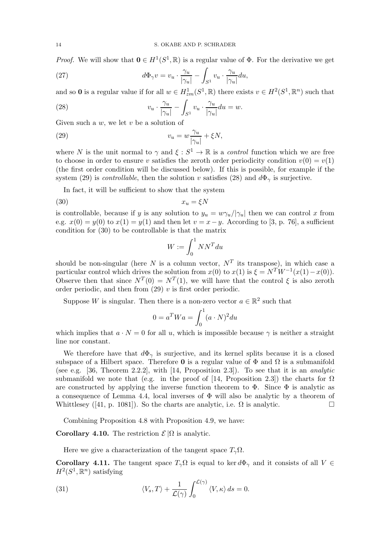*Proof.* We will show that  $\mathbf{0} \in H^1(S^1, \mathbb{R})$  is a regular value of  $\Phi$ . For the derivative we get

<span id="page-13-3"></span>(27) 
$$
d\Phi_{\gamma}v = v_u \cdot \frac{\gamma_u}{|\gamma_u|} - \int_{S^1} v_u \cdot \frac{\gamma_u}{|\gamma_u|} du,
$$

and so **0** is a regular value if for all  $w \in H^1_{zm}(S^1,\mathbb{R})$  there exists  $v \in H^2(S^1,\mathbb{R}^n)$  such that

<span id="page-13-1"></span>(28) 
$$
v_u \cdot \frac{\gamma_u}{|\gamma_u|} - \int_{S^1} v_u \cdot \frac{\gamma_u}{|\gamma_u|} du = w.
$$

Given such a  $w$ , we let  $v$  be a solution of

(29) 
$$
v_u = w \frac{\gamma_u}{|\gamma_u|} + \xi N,
$$

where N is the unit normal to  $\gamma$  and  $\xi : S^1 \to \mathbb{R}$  is a control function which we are free to choose in order to ensure v satisfies the zeroth order periodicity condition  $v(0) = v(1)$ (the first order condition will be discussed below). If this is possible, for example if the system [\(29\)](#page-13-0) is *controllable*, then the solution v satisfies [\(28\)](#page-13-1) and  $d\Phi_{\gamma}$  is surjective.

In fact, it will be sufficient to show that the system

$$
(30) \t\t x_u = \xi N
$$

is controllable, because if y is any solution to  $y_u = w\gamma_u/|\gamma_u|$  then we can control x from e.g.  $x(0) = y(0)$  to  $x(1) = y(1)$  and then let  $v = x - y$ . According to [\[3,](#page-20-24) p. 76], a sufficient condition for [\(30\)](#page-13-2) to be controllable is that the matrix

<span id="page-13-2"></span><span id="page-13-0"></span>
$$
W:=\int_0^1 NN^T du
$$

should be non-singular (here N is a column vector,  $N<sup>T</sup>$  its transpose), in which case a particular control which drives the solution from  $x(0)$  to  $x(1)$  is  $\xi = N^T W^{-1}(x(1) - x(0))$ . Observe then that since  $N^T(0) = N^T(1)$ , we will have that the control  $\xi$  is also zeroth order periodic, and then from  $(29)$  v is first order periodic.

Suppose W is singular. Then there is a non-zero vector  $a \in \mathbb{R}^2$  such that

$$
0 = a^T W a = \int_0^1 (a \cdot N)^2 du
$$

which implies that  $a \cdot N = 0$  for all u, which is impossible because  $\gamma$  is neither a straight line nor constant.

We therefore have that  $d\Phi_{\gamma}$  is surjective, and its kernel splits because it is a closed subspace of a Hilbert space. Therefore **0** is a regular value of  $\Phi$  and  $\Omega$  is a submanifold (see e.g. [\[36,](#page-21-16) Theorem 2.2.2], with  $[14,$  Proposition 2.3]). To see that it is an *analytic* submanifold we note that (e.g. in the proof of [\[14,](#page-20-21) Proposition 2.3]) the charts for  $\Omega$ are constructed by applying the inverse function theorem to  $\Phi$ . Since  $\Phi$  is analytic as a consequence of Lemma [4.4,](#page-11-2) local inverses of  $\Phi$  will also be analytic by a theorem of Whittlesey ([\[41,](#page-21-15) p. 1081]). So the charts are analytic, i.e.  $\Omega$  is analytic.

Combining Proposition [4.8](#page-12-3) with Proposition [4.9,](#page-12-4) we have:

<span id="page-13-6"></span>Corollary 4.10. The restriction  $\mathcal{E}|\Omega$  is analytic.

Here we give a characterization of the tangent space  $T_{\gamma}\Omega$ .

<span id="page-13-5"></span>Corollary 4.11. The tangent space  $T_{\gamma}\Omega$  is equal to ker  $d\Phi_{\gamma}$  and it consists of all  $V \in$  $H^2(S^1,\mathbb{R}^n)$  satisfying

<span id="page-13-4"></span>(31) 
$$
\langle V_s, T \rangle + \frac{1}{\mathcal{L}(\gamma)} \int_0^{\mathcal{L}(\gamma)} \langle V, \kappa \rangle ds = 0.
$$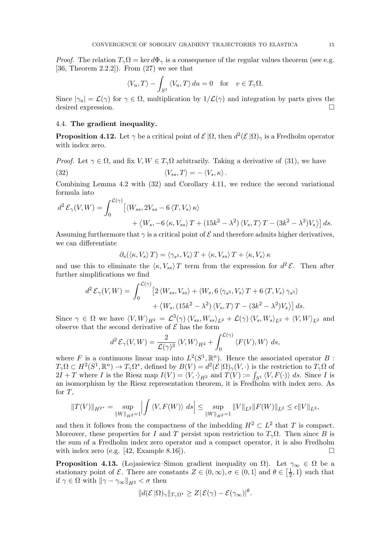*Proof.* The relation  $T_{\gamma} \Omega = \ker d\Phi_{\gamma}$  is a consequence of the regular values theorem (see e.g. [\[36,](#page-21-16) Theorem 2.2.2]). From [\(27\)](#page-13-3) we see that

$$
\langle V_u, T \rangle - \int_{S^1} \langle V_u, T \rangle \, du = 0 \quad \text{for} \quad v \in T_\gamma \Omega.
$$

Since  $|\gamma_u| = \mathcal{L}(\gamma)$  for  $\gamma \in \Omega$ , multiplication by  $1/\mathcal{L}(\gamma)$  and integration by parts gives the desired expression. desired expression.

## <span id="page-14-0"></span>4.4. The gradient inequality.

<span id="page-14-1"></span>**Proposition 4.12.** Let  $\gamma$  be a critical point of  $\mathcal{E}|\Omega$ , then  $d^2(\mathcal{E}|\Omega)_{\gamma}$  is a Fredholm operator with index zero.

*Proof.* Let 
$$
\gamma \in \Omega
$$
, and fix  $V, W \in T_{\gamma}\Omega$  arbitrarily. Taking a derivative of (31), we have  
(32)  $\langle V_{ss}, T \rangle = -\langle V_s, \kappa \rangle$ .

Combining Lemma [4.2](#page-9-3) with [\(32\)](#page-14-2) and Corollary [4.11,](#page-13-5) we reduce the second variational formula into

$$
d^{2} \mathcal{E}_{\gamma}(V, W) = \int_{0}^{\mathcal{L}(\gamma)} \left[ \langle W_{ss}, 2V_{ss} - 6 \langle T, V_{s} \rangle \kappa \rangle \right. \\ \left. + \langle W_{s}, -6 \langle \kappa, V_{ss} \rangle T + (15k^{2} - \lambda^{2}) \langle V_{s}, T \rangle T - (3k^{2} - \lambda^{2}) V_{s} \rangle \right] ds.
$$

Assuming furthermore that  $\gamma$  is a critical point of  $\mathcal E$  and therefore admits higher derivatives, we can differentiate

<span id="page-14-2"></span>
$$
\partial_s(\langle \kappa, V_s \rangle T) = \langle \gamma_{s^3}, V_s \rangle T + \langle \kappa, V_{ss} \rangle T + \langle \kappa, V_s \rangle \kappa
$$

and use this to eliminate the  $\langle \kappa, V_{ss} \rangle T$  term from the expression for  $d^2 \mathcal{E}$ . Then after further simplifications we find

$$
d^2 \mathcal{E}_{\gamma}(V, W) = \int_0^{\mathcal{L}(\gamma)} \left[ 2 \langle W_{ss}, V_{ss} \rangle + \langle W_s, 6 \langle \gamma_{s^3}, V_s \rangle T + 6 \langle T, V_s \rangle \gamma_{s^3} \rangle \right. \\ \left. + \langle W_s, (15k^2 - \lambda^2) \langle V_s, T \rangle T - (3k^2 - \lambda^2) V_s \rangle \right] ds.
$$

Since  $\gamma \in \Omega$  we have  $\langle V, W \rangle_{H^2} = \mathcal{L}^3(\gamma) \langle V_{ss}, W_{ss} \rangle_{L^2} + \mathcal{L}(\gamma) \langle V_s, W_s \rangle_{L^2} + \langle V, W \rangle_{L^2}$  and observe that the second derivative of  $\mathcal E$  has the form

$$
d^2 \mathcal{E}_{\gamma}(V, W) = \frac{2}{\mathcal{L}(\gamma)^3} \langle V, W \rangle_{H^2} + \int_0^{\mathcal{L}(\gamma)} \langle F(V), W \rangle ds,
$$

where F is a continuous linear map into  $L^2(S^1,\mathbb{R}^n)$ . Hence the associated operator B :  $T_{\gamma}\Omega \subset H^2(S^1,\mathbb{R}^n) \to T_{\gamma}\Omega^*,$  defined by  $B(V) = d^2(\mathcal{E}|\Omega)_{\gamma}(V,\cdot)$  is the restriction to  $T_{\gamma}\Omega$  of  $2I + T$  where I is the Riesz map  $I(V) = \langle V, \cdot \rangle_{H^2}$  and  $T(V) := \int_{S^1} \langle V, F(\cdot) \rangle ds$ . Since I is an isomorphism by the Riesz representation theorem, it is Fredholm with index zero. As for  $T$ ,

$$
||T(V)||_{H^{2^{*}}} = \sup_{||W||_{H^{2}}=1} \left| \int \langle V, F(W) \rangle \ ds \right| \leq \sup_{||W||_{H^{2}}=1} ||V||_{L^{2}} ||F(W)||_{L^{2}} \leq c||V||_{L^{2}},
$$

and then it follows from the compactness of the imbedding  $H^2 \subset L^2$  that T is compact. Moreover, these properties for I and T persist upon restriction to  $T_{\gamma}\Omega$ . Then since B is the sum of a Fredholm index zero operator and a compact operator, it is also Fredholm with index zero (e.g.  $[42, \text{Example } 8.16]$ ).

<span id="page-14-3"></span>**Proposition 4.13.** (Lojasiewicz–Simon gradient inequality on  $\Omega$ ). Let  $\gamma_{\infty} \in \Omega$  be a stationary point of  $\mathcal{E}$ . There are constants  $Z \in (0, \infty), \sigma \in (0, 1]$  and  $\theta \in \left[\frac{1}{2}, \frac{1}{2}, \frac{1}{2}\right]$  $(\frac{1}{2},1)$  such that if  $\gamma \in \Omega$  with  $\|\gamma - \gamma_{\infty}\|_{H^2} < \sigma$  then

$$
||d(\mathcal{E}|\Omega)_{\gamma}||_{T_{\gamma}\Omega^{*}} \geq Z|\mathcal{E}(\gamma) - \mathcal{E}(\gamma_{\infty})|^{\theta}.
$$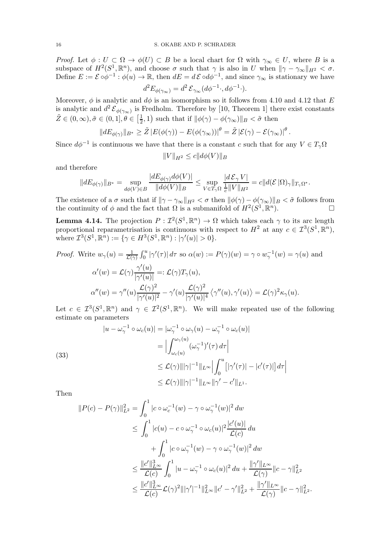Proof. Let  $\phi: U \subset \Omega \to \phi(U) \subset B$  be a local chart for  $\Omega$  with  $\gamma_\infty \in U$ , where B is a subspace of  $H^2(S^1, \mathbb{R}^n)$ , and choose  $\sigma$  such that  $\gamma$  is also in U when  $\|\gamma - \gamma_{\infty}\|_{H^2} < \sigma$ . Define  $E := \mathcal{E} \circ \phi^{-1} : \phi(u) \to \mathbb{R}$ , then  $dE = d\mathcal{E} \circ d\phi^{-1}$ , and since  $\gamma_{\infty}$  is stationary we have

$$
d^2 E_{\phi(\gamma_\infty)} = d^2 \mathcal{E}_{\gamma_\infty}(d\phi^{-1} \cdot, d\phi^{-1} \cdot).
$$

Moreover,  $\phi$  is analytic and  $d\phi$  is an isomorphism so it follows from [4.10](#page-13-6) and [4.12](#page-14-1) that E is analytic and  $d^2 \mathcal{E}_{\phi(\gamma_{\infty})}$  is Fredholm. Therefore by [\[10,](#page-20-25) Theorem 1] there exist constants  $\tilde{Z} \in (0, \infty), \tilde{\sigma} \in (0, 1], \theta \in \left[\frac{1}{2}\right]$  $(\frac{1}{2}, 1)$  such that if  $\|\phi(\gamma) - \phi(\gamma_{\infty})\|_{B} < \tilde{\sigma}$  then

$$
||dE_{\phi(\gamma)}||_{B^*} \ge \tilde{Z} |E(\phi(\gamma)) - E(\phi(\gamma_{\infty}))|^{\theta} = \tilde{Z} |\mathcal{E}(\gamma) - \mathcal{E}(\gamma_{\infty})|^{\theta}.
$$

Since  $d\phi^{-1}$  is continuous we have that there is a constant c such that for any  $V \in T_{\gamma}\Omega$ 

$$
||V||_{H^2} \le c||d\phi(V)||_B
$$

and therefore

$$
||dE_{\phi(\gamma)}||_{B^*} = \sup_{d\phi(V)\in B} \frac{|dE_{\phi(\gamma)}d\phi(V)|}{||d\phi(V)||_B} \leq \sup_{V\in T_\gamma\Omega} \frac{|d\mathcal{E}_\gamma V|}{\frac{1}{c}||V||_{H^2}} = c||d(\mathcal{E}|\Omega)_\gamma||_{T_\gamma\Omega^*}.
$$

The existence of a  $\sigma$  such that if  $\|\gamma - \gamma_{\infty}\|_{H^2} < \sigma$  then  $\|\phi(\gamma) - \phi(\gamma_{\infty})\|_{B} < \tilde{\sigma}$  follows from the continuity of  $\phi$  and the fact that  $\Omega$  is a submanifold of  $H^2(S^1, \mathbb{R}^n)$  $\Box$ 

<span id="page-15-1"></span>**Lemma 4.14.** The projection  $P: \mathcal{I}^2(S^1,\mathbb{R}^n) \to \Omega$  which takes each  $\gamma$  to its arc length proportional reparametrisation is continuous with respect to  $H^2$  at any  $c \in \mathcal{I}^3(S^1,\mathbb{R}^n)$ , where  $\mathcal{I}^3(S^1, \mathbb{R}^n) := \{ \gamma \in H^3(S^1, \mathbb{R}^n) : |\gamma'(u)| > 0 \}.$ 

*Proof.* Write 
$$
w_{\gamma}(u) = \frac{1}{\mathcal{L}(\gamma)} \int_0^u |\gamma'(\tau)| d\tau
$$
 so  $\alpha(w) := P(\gamma)(w) = \gamma \circ w_{\gamma}^{-1}(w) = \gamma(u)$  and  
\n
$$
\alpha'(w) = \mathcal{L}(\gamma) \frac{\gamma'(u)}{|\gamma'(u)|} =: \mathcal{L}(\gamma) T_{\gamma}(u),
$$
\n
$$
\alpha''(w) = \gamma''(u) \frac{\mathcal{L}(\gamma)^2}{|\gamma'(u)|^2} - \gamma'(u) \frac{\mathcal{L}(\gamma)^2}{|\gamma'(u)|^4} \langle \gamma''(u), \gamma'(u) \rangle = \mathcal{L}(\gamma)^2 \kappa_{\gamma}(u).
$$

Let  $c \in \mathcal{I}^3(S^1,\mathbb{R}^n)$  and  $\gamma \in \mathcal{I}^2(S^1,\mathbb{R}^n)$ . We will make repeated use of the following estimate on parameters

(33)  
\n
$$
|u - \omega_{\gamma}^{-1} \circ \omega_{c}(u)| = |\omega_{\gamma}^{-1} \circ \omega_{\gamma}(u) - \omega_{\gamma}^{-1} \circ \omega_{c}(u)|
$$
\n
$$
= \left| \int_{\omega_{c}(u)}^{\omega_{\gamma}(u)} (\omega_{\gamma}^{-1})'(\tau) d\tau \right|
$$
\n
$$
\leq \mathcal{L}(\gamma) |||\gamma|^{-1} ||_{L^{\infty}} \left| \int_{0}^{u} [|\gamma'(\tau)| - |c'(\tau)|] d\tau \right|
$$
\n
$$
\leq \mathcal{L}(\gamma) |||\gamma|^{-1} ||_{L^{\infty}} \|\gamma' - c' ||_{L^{1}}.
$$

Then

<span id="page-15-0"></span>
$$
||P(c) - P(\gamma)||_{L^{2}}^{2} = \int_{0}^{1} |c \circ \omega_{c}^{-1}(w) - \gamma \circ \omega_{\gamma}^{-1}(w)|^{2} dw
$$
  
\n
$$
\leq \int_{0}^{1} |c(u) - c \circ \omega_{\gamma}^{-1} \circ \omega_{c}(u)|^{2} \frac{|c'(u)|}{\mathcal{L}(c)} du
$$
  
\n
$$
+ \int_{0}^{1} |c \circ \omega_{\gamma}^{-1}(w) - \gamma \circ \omega_{\gamma}^{-1}(w)|^{2} dw
$$
  
\n
$$
\leq \frac{||c'||_{L^{\infty}}^{3}}{\mathcal{L}(c)} \int_{0}^{1} |u - \omega_{\gamma}^{-1} \circ \omega_{c}(u)|^{2} du + \frac{||\gamma'||_{L^{\infty}}}{\mathcal{L}(\gamma)} ||c - \gamma||_{L^{2}}^{2}
$$
  
\n
$$
\leq \frac{||c'||_{L^{\infty}}^{3}}{\mathcal{L}(c)} \mathcal{L}(\gamma)^{2} |||\gamma'||^{-1} ||_{L^{\infty}}^{2} ||c' - \gamma'||_{L^{2}}^{2} + \frac{||\gamma'||_{L^{\infty}}}{\mathcal{L}(\gamma)} ||c - \gamma||_{L^{2}}^{2}.
$$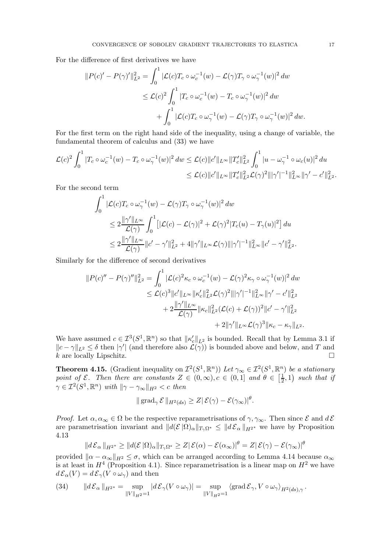For the difference of first derivatives we have

$$
||P(c)' - P(\gamma)'||_{L^2}^2 = \int_0^1 |\mathcal{L}(c)T_c \circ \omega_c^{-1}(w) - \mathcal{L}(\gamma)T_\gamma \circ \omega_\gamma^{-1}(w)|^2 dw
$$
  

$$
\leq \mathcal{L}(c)^2 \int_0^1 |T_c \circ \omega_c^{-1}(w) - T_c \circ \omega_\gamma^{-1}(w)|^2 dw
$$
  

$$
+ \int_0^1 |\mathcal{L}(c)T_c \circ \omega_\gamma^{-1}(w) - \mathcal{L}(\gamma)T_\gamma \circ \omega_\gamma^{-1}(w)|^2 dw.
$$

For the first term on the right hand side of the inequality, using a change of variable, the fundamental theorem of calculus and [\(33\)](#page-15-0) we have

$$
\mathcal{L}(c)^2 \int_0^1 |T_c \circ \omega_c^{-1}(w) - T_c \circ \omega_\gamma^{-1}(w)|^2 \, dw \leq \mathcal{L}(c) \|c'\|_{L^\infty} \|T_c'\|_{L^2}^2 \int_0^1 |u - \omega_\gamma^{-1} \circ \omega_c(u)|^2 \, du
$$
  

$$
\leq \mathcal{L}(c) \|c'\|_{L^\infty} \|T_c'\|_{L^2}^2 \mathcal{L}(\gamma)^2 \||\gamma'|^{-1} \|_{L^\infty}^2 \|\gamma' - c'\|_{L^2}^2.
$$

For the second term

$$
\int_0^1 |\mathcal{L}(c)T_c \circ \omega_\gamma^{-1}(w) - \mathcal{L}(\gamma)T_\gamma \circ \omega_\gamma^{-1}(w)|^2 dw
$$
  
\n
$$
\leq 2 \frac{\|\gamma'\|_{L^\infty}}{\mathcal{L}(\gamma)} \int_0^1 [|\mathcal{L}(c) - \mathcal{L}(\gamma)|^2 + \mathcal{L}(\gamma)^2 |T_c(u) - T_\gamma(u)|^2] du
$$
  
\n
$$
\leq 2 \frac{\|\gamma'\|_{L^\infty}}{\mathcal{L}(\gamma)} \|c' - \gamma'\|_{L^2}^2 + 4 \|\gamma'\|_{L^\infty} \mathcal{L}(\gamma) \|\gamma'\|^{-1} \|_{L^\infty}^2 \|c' - \gamma'\|_{L^2}^2.
$$

Similarly for the difference of second derivatives

$$
||P(c)'' - P(\gamma)''||_{L^2}^2 = \int_0^1 |\mathcal{L}(c)^2 \kappa_c \circ \omega_c^{-1}(w) - \mathcal{L}(\gamma)^2 \kappa_{\gamma} \circ \omega_{\gamma}^{-1}(w)|^2 dw
$$
  
\n
$$
\leq \mathcal{L}(c)^3 ||c'||_{L^{\infty}} ||\kappa_c'||_{L^2}^2 \mathcal{L}(\gamma)^2 |||\gamma'|^{-1} ||_{L^{\infty}}^2 ||\gamma' - c'||_{L^2}^2
$$
  
\n
$$
+ 2 \frac{||\gamma'||_{L^{\infty}}}{\mathcal{L}(\gamma)} ||\kappa_c||_{L^2}^2 (\mathcal{L}(c) + \mathcal{L}(\gamma))^2 ||c' - \gamma'||_{L^2}^2
$$
  
\n
$$
+ 2 ||\gamma'||_{L^{\infty}} \mathcal{L}(\gamma)^3 ||\kappa_c - \kappa_{\gamma}||_{L^2}.
$$

We have assumed  $c \in \mathcal{I}^3(S^1,\mathbb{R}^n)$  so that  $\|\kappa'_c\|_{L^2}$  is bounded. Recall that by Lemma [3.1](#page-5-2) if  $||c - \gamma||_{L^2} \leq \delta$  then  $|\gamma'|$  (and therefore also  $\mathcal{L}(\gamma)$ ) is bounded above and below, and T and k are locally Lipschitz.  $\square$ 

<span id="page-16-1"></span>**Theorem 4.15.** (Gradient inequality on  $\mathcal{I}^2(S^1,\mathbb{R}^n)$ ) Let  $\gamma_\infty \in \mathcal{I}^2(S^1,\mathbb{R}^n)$  be a stationary point of  $\mathcal{E}$ . Then there are constants  $Z \in (0, \infty), c \in (0, 1]$  and  $\theta \in \left[\frac{1}{2}, \frac{1}{2}\right]$  $(\frac{1}{2},1)$  such that if  $\gamma \in \mathcal{I}^2(S^1,\mathbb{R}^n)$  with  $\|\gamma - \gamma_\infty\|_{H^2} < c$  then

$$
\|\operatorname{grad}_{\gamma} \mathcal{E} \|_{H^2(ds)} \geq Z|\mathcal{E}(\gamma) - \mathcal{E}(\gamma_{\infty})|^{\theta}.
$$

*Proof.* Let  $\alpha, \alpha_{\infty} \in \Omega$  be the respective reparametrisations of  $\gamma, \gamma_{\infty}$ . Then since  $\mathcal E$  and  $d\mathcal E$ are parametrisation invariant and  $||d(\mathcal{E}|\Omega)_{\alpha}||_{T_{\gamma}\Omega^*} \leq ||d \mathcal{E}_{\alpha}||_{H^{2^*}}$  we have by Proposition [4.13](#page-14-3)

$$
\|d\mathcal{E}_{\alpha}\|_{H^{2^{*}}}\geq\|d(\mathcal{E}|\Omega)_{\alpha}\|_{T_{\gamma}\Omega^{*}}\geq Z|\mathcal{E}(\alpha)-\mathcal{E}(\alpha_{\infty})|^{\theta}=Z|\mathcal{E}(\gamma)-\mathcal{E}(\gamma_{\infty})|^{\theta}
$$

provided  $\|\alpha - \alpha_{\infty}\|_{H^2} \leq \sigma$ , which can be arranged according to Lemma [4.14](#page-15-1) because  $\alpha_{\infty}$ is at least in  $H<sup>4</sup>$  (Proposition [4.1\)](#page-9-4). Since reparametrisation is a linear map on  $H<sup>2</sup>$  we have  $d\mathcal{E}_{\alpha}(V) = d\mathcal{E}_{\gamma}(V \circ \omega_{\gamma})$  and then

<span id="page-16-0"></span>(34) 
$$
\|d\mathcal{E}_{\alpha}\|_{H^{2^{*}}} = \sup_{\|V\|_{H^{2}}=1} |d\mathcal{E}_{\gamma}(V \circ \omega_{\gamma})| = \sup_{\|V\|_{H^{2}}=1} \langle \operatorname{grad} \mathcal{E}_{\gamma}, V \circ \omega_{\gamma} \rangle_{H^{2}(ds),\gamma}.
$$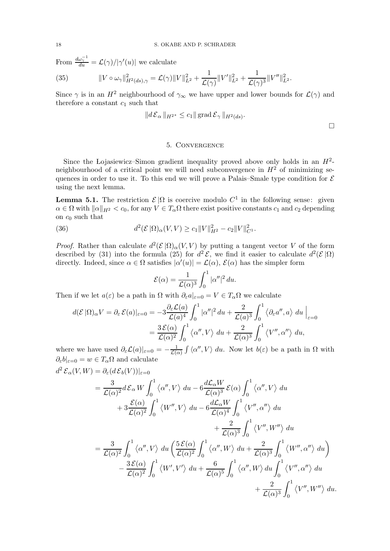From  $\frac{d\omega_{\gamma}^{-1}}{du} = \mathcal{L}(\gamma)/|\gamma'(u)|$  we calculate

<span id="page-17-2"></span>(35) 
$$
||V \circ \omega_{\gamma}||_{H^{2}(ds),\gamma}^{2} = \mathcal{L}(\gamma)||V||_{L^{2}}^{2} + \frac{1}{\mathcal{L}(\gamma)}||V'||_{L^{2}}^{2} + \frac{1}{\mathcal{L}(\gamma)^{3}}||V''||_{L^{2}}^{2}.
$$

Since  $\gamma$  is in an  $H^2$  neighbourhood of  $\gamma_{\infty}$  we have upper and lower bounds for  $\mathcal{L}(\gamma)$  and therefore a constant  $c_1$  such that

$$
||d \mathcal{E}_{\alpha} ||_{H^{2^*}} \leq c_1 || \operatorname{grad} \mathcal{E}_{\gamma} ||_{H^2(ds)}.
$$

### 5. Convergence

<span id="page-17-0"></span>Since the Lojasiewicz–Simon gradient inequality proved above only holds in an  $H^2$ neighbourhood of a critical point we will need subconvergence in  $H<sup>2</sup>$  of minimizing sequences in order to use it. To this end we will prove a Palais–Smale type condition for  $\mathcal E$ using the next lemma.

**Lemma 5.1.** The restriction  $\mathcal{E}|\Omega$  is coercive modulo  $C^1$  in the following sense: given  $\alpha \in \Omega$  with  $\|\alpha\|_{H^2} < c_0$ , for any  $V \in T_\alpha\Omega$  there exist positive constants  $c_1$  and  $c_2$  depending on  $c_0$  such that

<span id="page-17-1"></span>(36) 
$$
d^2(\mathcal{E}|\Omega)_{\alpha}(V,V) \geq c_1 \|V\|_{H^2}^2 - c_2 \|V\|_{C^1}^2.
$$

*Proof.* Rather than calculate  $d^2(\mathcal{E}|\Omega)_{\alpha}(V,V)$  by putting a tangent vector V of the form described by [\(31\)](#page-13-4) into the formula [\(25\)](#page-9-5) for  $d^2 \mathcal{E}$ , we find it easier to calculate  $d^2(\mathcal{E}|\Omega)$ directly. Indeed, since  $\alpha \in \Omega$  satisfies  $|\alpha'(u)| = \mathcal{L}(\alpha)$ ,  $\mathcal{E}(\alpha)$  has the simpler form

$$
\mathcal{E}(\alpha) = \frac{1}{\mathcal{L}(\alpha)^3} \int_0^1 |\alpha''|^2 \, du.
$$

Then if we let  $a(\varepsilon)$  be a path in  $\Omega$  with  $\partial_{\varepsilon}a|_{\varepsilon=0} = V \in T_{\alpha}\Omega$  we calculate

$$
d(\mathcal{E}|\Omega)_{\alpha}V = \partial_{\varepsilon}\mathcal{E}(a)|_{\varepsilon=0} = -3\frac{\partial_{\varepsilon}\mathcal{L}(a)}{\mathcal{L}(a)^{4}} \int_{0}^{1} |\alpha''|^{2} du + \frac{2}{\mathcal{L}(a)^{3}} \int_{0}^{1} \langle \partial_{\varepsilon}a'', a \rangle du \Big|_{\varepsilon=0}
$$

$$
= \frac{3\mathcal{E}(\alpha)}{\mathcal{L}(\alpha)^{2}} \int_{0}^{1} \langle \alpha'', V \rangle du + \frac{2}{\mathcal{L}(\alpha)^{3}} \int_{0}^{1} \langle V'', \alpha'' \rangle du,
$$

where we have used  $\partial_{\varepsilon}\mathcal{L}(a)|_{\varepsilon=0} = -\frac{1}{\mathcal{L}(a)}$  $\frac{1}{\mathcal{L}(\alpha)} \int \langle \alpha'', V \rangle \, du$ . Now let  $b(\varepsilon)$  be a path in  $\Omega$  with  $\partial_{\varepsilon}b|_{\varepsilon=0} = w \in T_{\alpha}\Omega$  and calculate

$$
d^{2} \mathcal{E}_{\alpha}(V,W) = \partial_{\varepsilon}(d\mathcal{E}_{b}(V))|_{\varepsilon=0}
$$
  
\n
$$
= \frac{3}{\mathcal{L}(\alpha)^{2}} d\mathcal{E}_{\alpha} W \int_{0}^{1} \langle \alpha'', V \rangle du - 6 \frac{d\mathcal{L}_{\alpha}W}{\mathcal{L}(\alpha)^{3}} \mathcal{E}(\alpha) \int_{0}^{1} \langle \alpha'', V \rangle du
$$
  
\n
$$
+ 3 \frac{\mathcal{E}(\alpha)}{\mathcal{L}(\alpha)^{2}} \int_{0}^{1} \langle W'', V \rangle du - 6 \frac{d\mathcal{L}_{\alpha}W}{\mathcal{L}(\alpha)^{4}} \int_{0}^{1} \langle V'', \alpha'' \rangle du
$$
  
\n
$$
+ \frac{2}{\mathcal{L}(\alpha)^{3}} \int_{0}^{1} \langle V'', W'' \rangle du
$$
  
\n
$$
= \frac{3}{\mathcal{L}(\alpha)^{2}} \int_{0}^{1} \langle \alpha'', V \rangle du \left( \frac{5 \mathcal{E}(\alpha)}{\mathcal{L}(\alpha)^{2}} \int_{0}^{1} \langle \alpha'', W \rangle du + \frac{2}{\mathcal{L}(\alpha)^{3}} \int_{0}^{1} \langle W'', \alpha'' \rangle du \right)
$$
  
\n
$$
- \frac{3 \mathcal{E}(\alpha)}{\mathcal{L}(\alpha)^{2}} \int_{0}^{1} \langle W', V' \rangle du + \frac{6}{\mathcal{L}(\alpha)^{5}} \int_{0}^{1} \langle \alpha'', W \rangle du \int_{0}^{1} \langle V'', \alpha'' \rangle du
$$
  
\n
$$
+ \frac{2}{\mathcal{L}(\alpha)^{3}} \int_{0}^{1} \langle V'', W'' \rangle du.
$$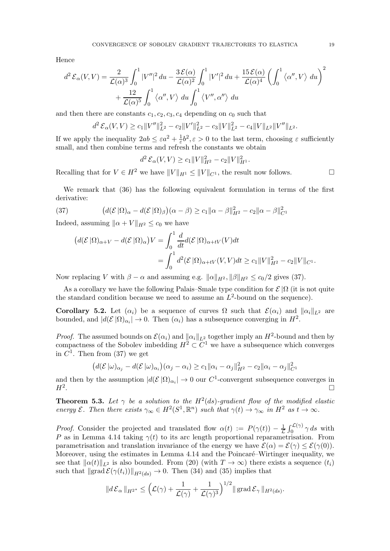Hence

$$
d^2 \mathcal{E}_{\alpha}(V,V) = \frac{2}{\mathcal{L}(\alpha)^3} \int_0^1 |V''|^2 du - \frac{3 \mathcal{E}(\alpha)}{\mathcal{L}(\alpha)^2} \int_0^1 |V'|^2 du + \frac{15 \mathcal{E}(\alpha)}{\mathcal{L}(\alpha)^4} \left( \int_0^1 \langle \alpha'', V \rangle du \right)^2
$$
  
+ 
$$
\frac{12}{\mathcal{L}(\alpha)^5} \int_0^1 \langle \alpha'', V \rangle du \int_0^1 \langle V'', \alpha'' \rangle du
$$

and then there are constants  $c_1, c_2, c_3, c_4$  depending on  $c_0$  such that

$$
d^2 \mathcal{E}_{\alpha}(V, V) \ge c_1 \|V''\|_{L^2}^2 - c_2 \|V'\|_{L^2}^2 - c_3 \|V\|_{L^2}^2 - c_4 \|V\|_{L^2} \|V''\|_{L^2}.
$$

If we apply the inequality  $2ab \leq \varepsilon a^2 + \frac{1}{\varepsilon}$  $\frac{1}{\varepsilon}b^2$ ,  $\varepsilon > 0$  to the last term, choosing  $\varepsilon$  sufficiently small, and then combine terms and refresh the constants we obtain

$$
d^2 \mathcal{E}_{\alpha}(V, V) \ge c_1 \|V\|_{H^2}^2 - c_2 \|V\|_{H^1}^2.
$$

Recalling that for  $V \in H^2$  we have  $||V||_{H^1} \le ||V||_{C^1}$ , the result now follows.

We remark that [\(36\)](#page-17-1) has the following equivalent formulation in terms of the first derivative:

(37) 
$$
\left(d(\mathcal{E}|\Omega)_{\alpha}-d(\mathcal{E}|\Omega)_{\beta}\right)(\alpha-\beta) \geq c_1 \|\alpha-\beta\|_{H^2}^2 - c_2 \|\alpha-\beta\|_{C^1}^2
$$

Indeed, assuming  $\|\alpha + V\|_{H^2} \leq c_0$  we have

<span id="page-18-0"></span>
$$
(d(\mathcal{E}|\Omega)_{\alpha+V} - d(\mathcal{E}|\Omega)_{\alpha})V = \int_0^1 \frac{d}{dt} d(\mathcal{E}|\Omega)_{\alpha+tv}(V)dt
$$
  
= 
$$
\int_0^1 d^2(\mathcal{E}|\Omega)_{\alpha+tv}(V,V)dt \ge c_1 ||V||_{H^2}^2 - c_2 ||V||_{C^1}.
$$

Now replacing V with  $\beta - \alpha$  and assuming e.g.  $\|\alpha\|_{H^2}$ ,  $\|\beta\|_{H^2} \leq c_0/2$  gives [\(37\)](#page-18-0).

As a corollary we have the following Palais–Smale type condition for  $\mathcal{E}|\Omega|$  (it is not quite the standard condition because we need to assume an  $L^2$ -bound on the sequence).

<span id="page-18-1"></span>Corollary 5.2. Let  $(\alpha_i)$  be a sequence of curves  $\Omega$  such that  $\mathcal{E}(\alpha_i)$  and  $\|\alpha_i\|_{L^2}$  are bounded, and  $|d(\mathcal{E}|\Omega)_{\alpha_i}| \to 0$ . Then  $(\alpha_i)$  has a subsequence converging in  $H^2$ .

*Proof.* The assumed bounds on  $\mathcal{E}(\alpha_i)$  and  $\|\alpha_i\|_{L^2}$  together imply an  $H^2$ -bound and then by compactness of the Sobolev imbedding  $H^2 \subset C^1$  we have a subsequence which converges in  $C^1$ . Then from [\(37\)](#page-18-0) we get

$$
\left(d(\mathcal{E}||\omega)_{\alpha_j} - d(\mathcal{E}||\omega)_{\alpha_i}\right)(\alpha_j - \alpha_i) \geq c_1 ||\alpha_i - \alpha_j||_{H^2}^2 - c_2 ||\alpha_i - \alpha_j||_{C^1}^2
$$

and then by the assumption  $|d(\mathcal{E}|\Omega)_{\alpha_i}| \to 0$  our  $C^1$ -convergent subsequence converges in  $H^2$ . . In the second control of the second control of the second control of the second control of the second control of

**Theorem 5.3.** Let  $\gamma$  be a solution to the  $H^2(ds)$ -gradient flow of the modified elastic energy  $\mathcal E$ . Then there exists  $\gamma_\infty \in H^2(S^1,\mathbb R^n)$  such that  $\gamma(t) \to \gamma_\infty$  in  $H^2$  as  $t \to \infty$ .

*Proof.* Consider the projected and translated flow  $\alpha(t) := P(\gamma(t)) - \frac{1}{L}$  $\frac{1}{\mathcal{L}}\int_0^{\mathcal{L}(\gamma)} \gamma ds$  with P as in Lemma [4.14](#page-15-1) taking  $\gamma(t)$  to its arc length proportional reparametrisation. From parametrisation and translation invariance of the energy we have  $\mathcal{E}(\alpha) = \mathcal{E}(\gamma) \leq \mathcal{E}(\gamma(0))$ . Moreover, using the estimates in Lemma [4.14](#page-15-1) and the Poincaré–Wirtinger inequality, we see that  $\|\alpha(t)\|_{L^2}$  is also bounded. From [\(20\)](#page-8-4) (with  $T \to \infty$ ) there exists a sequence  $(t_i)$ such that  $\|grad \mathcal{E}(\gamma(t_i))\|_{H^2(ds)} \to 0$ . Then  $(34)$  and  $(35)$  implies that

$$
||d \mathcal{E}_{\alpha}||_{H^{2^*}} \leq \left(\mathcal{L}(\gamma) + \frac{1}{\mathcal{L}(\gamma)} + \frac{1}{\mathcal{L}(\gamma)^3}\right)^{1/2} || \operatorname{grad} \mathcal{E}_{\gamma} ||_{H^2(ds)}.
$$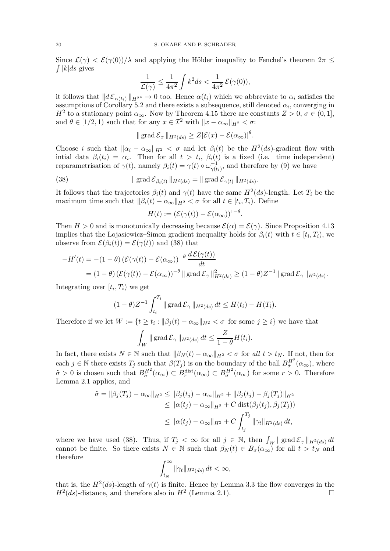$\int |k|ds$  gives Since  $\mathcal{L}(\gamma) < \mathcal{E}(\gamma(0))/\lambda$  and applying the Hölder inequality to Fenchel's theorem  $2\pi$ 

$$
\frac{1}{\mathcal{L}(\gamma)} \le \frac{1}{4\pi^2} \int k^2 ds < \frac{1}{4\pi^2} \mathcal{E}(\gamma(0)),
$$

it follows that  $||d \mathcal{E}_{\alpha(t_i)}||_{H^{2^*}} \to 0$  too. Hence  $\alpha(t_i)$  which we abbreviate to  $\alpha_i$  satisfies the assumptions of Corollary [5.2](#page-18-1) and there exists a subsequence, still denoted  $\alpha_i$ , converging in  $H^2$  to a stationary point  $\alpha_{\infty}$ . Now by Theorem [4.15](#page-16-1) there are constants  $Z > 0$ ,  $\sigma \in (0, 1]$ , and  $\theta \in [1/2, 1)$  such that for any  $x \in \mathcal{I}^2$  with  $||x - \alpha_{\infty}||_{H^2} < \sigma$ :

$$
\|\operatorname{grad} \mathcal{E}_x\|_{H^2(ds)} \geq Z|\mathcal{E}(x) - \mathcal{E}(\alpha_{\infty})|^{\theta}.
$$

Choose *i* such that  $\|\alpha_i - \alpha_\infty\|_{H^2} < \sigma$  and let  $\beta_i(t)$  be the  $H^2(ds)$ -gradient flow with intial data  $\beta_i(t_i) = \alpha_i$ . Then for all  $t > t_i$ ,  $\beta_i(t)$  is a fixed (i.e. time independent) reparametrisation of  $\gamma(t)$ , namely  $\beta_i(t) = \gamma(t) \circ \omega_{\gamma(t)}^{-1}$  $\frac{-1}{\gamma(t_i)}$ , and therefore by [\(9\)](#page-5-4) we have

(38) 
$$
\| \operatorname{grad} \mathcal{E}_{\beta_i(t)} \|_{H^2(ds)} = \| \operatorname{grad} \mathcal{E}_{\gamma(t)} \|_{H^2(ds)}.
$$

It follows that the trajectories  $\beta_i(t)$  and  $\gamma(t)$  have the same  $H^2(ds)$ -length. Let  $T_i$  be the maximum time such that  $\|\beta_i(t) - \alpha_\infty\|_{H^2} < \sigma$  for all  $t \in [t_i, T_i)$ . Define

<span id="page-19-0"></span>
$$
H(t) := (\mathcal{E}(\gamma(t)) - \mathcal{E}(\alpha_{\infty}))^{1-\theta}.
$$

Then  $H > 0$  and is monotonically decreasing because  $\mathcal{E}(\alpha) = \mathcal{E}(\gamma)$ . Since Proposition [4.13](#page-14-3) implies that the Lojasiewicz–Simon gradient inequality holds for  $\beta_i(t)$  with  $t \in [t_i, T_i)$ , we observe from  $\mathcal{E}(\beta_i(t)) = \mathcal{E}(\gamma(t))$  and [\(38\)](#page-19-0) that

$$
-H'(t) = -(1 - \theta) \left( \mathcal{E}(\gamma(t)) - \mathcal{E}(\alpha_{\infty}) \right)^{-\theta} \frac{d \mathcal{E}(\gamma(t))}{dt}
$$
  
=  $(1 - \theta) \left( \mathcal{E}(\gamma(t)) - \mathcal{E}(\alpha_{\infty}) \right)^{-\theta} || \operatorname{grad} \mathcal{E}_{\gamma} ||_{H^2(ds)}^2 \ge (1 - \theta) Z^{-1} || \operatorname{grad} \mathcal{E}_{\gamma} ||_{H^2(ds)}.$ 

Integrating over  $[t_i, T_i)$  we get

$$
(1-\theta)Z^{-1}\int_{t_i}^{T_i} \|\operatorname{grad} \mathcal{E}_{\gamma}\|_{H^2(ds)} dt \leq H(t_i) - H(T_i).
$$

Therefore if we let  $W := \{t \ge t_i : ||\beta_j(t) - \alpha_\infty||_{H^2} < \sigma \text{ for some } j \ge i\}$  we have that

$$
\int_W \|\operatorname{grad} \mathcal{E}_{\gamma}\|_{H^2(ds)} dt \leq \frac{Z}{1-\theta} H(t_i).
$$

In fact, there exists  $N \in \mathbb{N}$  such that  $\|\beta_N(t) - \alpha_\infty\|_{H^2} < \sigma$  for all  $t > t_N$ . If not, then for each  $j \in \mathbb{N}$  there exists  $T_j$  such that  $\beta(T_j)$  is on the boundary of the ball  $B_{\tilde{\sigma}}^{H^2}(\alpha_{\infty})$ , where  $\tilde{\sigma} > 0$  is chosen such that  $B_{\tilde{\sigma}}^{H^2}(\alpha_{\infty}) \subset B_r^{\text{dist}}(\alpha_{\infty}) \subset B_{\sigma}^{H^2}(\alpha_{\infty})$  for some  $r > 0$ . Therefore Lemma [2.1](#page-4-3) applies, and

$$
\tilde{\sigma} = \|\beta_j(T_j) - \alpha_{\infty}\|_{H^2} \le \|\beta_j(t_j) - \alpha_{\infty}\|_{H^2} + \|\beta_j(t_j) - \beta_j(T_j)\|_{H^2}
$$
  
\n
$$
\le \|\alpha(t_j) - \alpha_{\infty}\|_{H^2} + C \operatorname{dist}(\beta_j(t_j), \beta_j(T_j))
$$
  
\n
$$
\le \|\alpha(t_j) - \alpha_{\infty}\|_{H^2} + C \int_{t_j}^{T_j} \|\gamma_t\|_{H^2(ds)} dt,
$$

where we have used [\(38\)](#page-19-0). Thus, if  $T_j < \infty$  for all  $j \in \mathbb{N}$ , then  $\int_W ||\text{grad } \mathcal{E}_{\gamma}||_{H^2(ds)} dt$ cannot be finite. So there exists  $N \in \mathbb{N}$  such that  $\beta_N(t) \in B_{\sigma}(\alpha_{\infty})$  for all  $t > t_N$  and therefore

$$
\int_{t_N}^{\infty} \|\gamma_t\|_{H^2(ds)} dt < \infty,
$$

that is, the  $H^2(ds)$ -length of  $\gamma(t)$  is finite. Hence by Lemma [3.3](#page-8-2) the flow converges in the  $H^2(ds)$ -distance, and therefore also in  $H^2$  (Lemma [2.1\)](#page-4-3).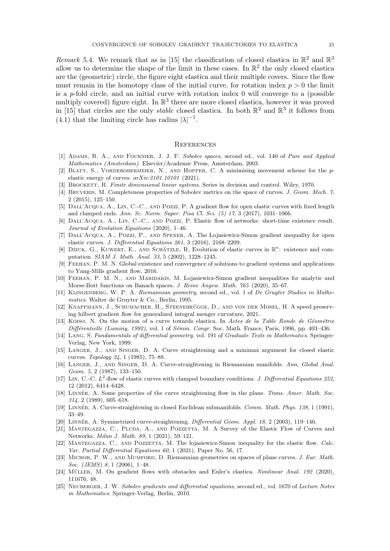Remark 5.4. We remark that as in [\[15\]](#page-20-1) the classification of closed elastica in  $\mathbb{R}^2$  and  $\mathbb{R}^3$ allow us to determine the shape of the limit in these cases. In  $\mathbb{R}^2$  the only closed elastica are the (geometric) circle, the figure eight elastica and their multiple covers. Since the flow must remain in the homotopy class of the initial curve, for rotation index  $p > 0$  the limit is a p-fold circle, and an initial curve with rotation index  $0$  will converge to a (possible multiply covered) figure eight. In  $\mathbb{R}^3$  there are more closed elastica, however it was proved in [\[15\]](#page-20-1) that circles are the only *stable* closed elastica. In both  $\mathbb{R}^2$  and  $\mathbb{R}^3$  it follows from  $(4.1)$  that the limiting circle has radius  $|\lambda|^{-1}$ .

#### <span id="page-20-0"></span>**REFERENCES**

- <span id="page-20-23"></span>[1] Adams, R. A., and Fournier, J. J. F. Sobolev spaces, second ed., vol. 140 of Pure and Applied Mathematics (Amsterdam). Elsevier/Academic Press, Amsterdam, 2003.
- <span id="page-20-11"></span>[2] Blatt, S., Vorderobermeier, N., and Hopper, C. A minimising movement scheme for the pelastic energy of curves.  $arXiv:2101.10101$  (2021).
- <span id="page-20-24"></span><span id="page-20-14"></span>[3] BROCKETT, R. Finite dimensional linear systems. Series in decision and control. Wiley, 1970.
- [4] BRUVERIS, M. Completeness properties of Sobolev metrics on the space of curves. J. Geom. Mech. 7, 2 (2015), 125–150.
- <span id="page-20-8"></span>[5] Dall'Acqua, A., Lin, C.-C., and Pozzi, P. A gradient flow for open elastic curves with fixed length and clamped ends. Ann. Sc. Norm. Super. Pisa Cl. Sci. (5) 17, 3 (2017), 1031–1066.
- <span id="page-20-9"></span>[6] Dall'Acqua, A., Lin, C.-C., and Pozzi, P. Elastic flow of networks: short-time existence result. Journal of Evolution Equations (2020), 1–46.
- <span id="page-20-12"></span>[7] DALL'ACQUA, A., POZZI, P., AND SPENER, A. The Lojasiewicz-Simon gradient inequality for open elastic curves. J. Differential Equations 261, 3 (2016), 2168–2209.
- <span id="page-20-6"></span>[8] DZIUK, G., KUWERT, E., AND SCHÄTZLE, R. Evolution of elastic curves in  $\mathbb{R}^n$ : existence and computation. SIAM J. Math. Anal. 33, 5 (2002), 1228–1245.
- <span id="page-20-22"></span>[9] Feehan, P. M. N. Global existence and convergence of solutions to gradient systems and applications to Yang-Mills gradient flow, 2016.
- <span id="page-20-25"></span>[10] Feehan, P. M. N., and Maridakis, M. Lojasiewicz-Simon gradient inequalities for analytic and Morse-Bott functions on Banach spaces. J. Reine Angew. Math. 765 (2020), 35–67.
- <span id="page-20-19"></span>[11] KLINGENBERG, W. P. A. Riemannian geometry, second ed., vol. 1 of De Gruyter Studies in Mathematics. Walter de Gruyter & Co., Berlin, 1995.
- <span id="page-20-17"></span>[12] KNAPPMANN, J., SCHUMACHER, H., STEENEBRÜGGE, D., AND VON DER MOSEL, H. A speed preserving hilbert gradient flow for generalized integral menger curvature, 2021.
- <span id="page-20-5"></span>[13] Koiso, N. On the motion of a curve towards elastica. In Actes de la Table Ronde de Géométrie  $Differentiale (Luminy, 1992)$ , vol. 1 of Sémin. Congr. Soc. Math. France, Paris, 1996, pp. 403–436.
- <span id="page-20-21"></span>[14] LANG, S. Fundamentals of differential geometry, vol. 191 of Graduate Texts in Mathematics. Springer-Verlag, New York, 1999.
- <span id="page-20-1"></span>[15] Langer, J., and Singer, D. A. Curve straightening and a minimax argument for closed elastic curves. Topology 24, 1 (1985), 75–88.
- <span id="page-20-2"></span>[16] Langer, J., and Singer, D. A. Curve-straightening in Riemannian manifolds. Ann. Global Anal. Geom. 5, 2 (1987), 133–150.
- <span id="page-20-7"></span>[17] LIN, C.-C.  $\dot{L}^2$ -flow of elastic curves with clamped boundary conditions. J. Differential Equations 252, 12 (2012), 6414–6428.
- <span id="page-20-3"></span>[18] LINNÉR, A. Some properties of the curve straightening flow in the plane. Trans. Amer. Math. Soc. 314, 2 (1989), 605–618.
- <span id="page-20-4"></span>[19] LINNÉR, A. Curve-straightening in closed Euclidean submanifolds. Comm. Math. Phys. 138, 1 (1991), 33–49.
- <span id="page-20-15"></span><span id="page-20-10"></span>[20] LINNÉR, A. Symmetrized curve-straightening. *Differential Geom. Appl. 18*, 2 (2003), 119–146.
- [21] Mantegazza, C., Pluda, A., and Pozzetta, M. A Survey of the Elastic Flow of Curves and Networks. Milan J. Math. 89, 1 (2021), 59–121.
- <span id="page-20-13"></span>[22] MANTEGAZZA, C., AND POZZETTA, M. The lojasiewicz-Simon inequality for the elastic flow. Calc. Var. Partial Differential Equations 60, 1 (2021), Paper No. 56, 17.
- <span id="page-20-20"></span>[23] MICHOR, P. W., AND MUMFORD, D. Riemannian geometries on spaces of plane curves. J. Eur. Math. Soc. (*JEMS*) 8, 1 (2006), 1-48.
- <span id="page-20-16"></span>[24] MÜLLER, M. On gradient flows with obstacles and Euler's elastica. Nonlinear Anal. 192 (2020), 111676, 48.
- <span id="page-20-18"></span>[25] NEUBERGER, J. W. Sobolev gradients and differential equations, second ed., vol. 1670 of Lecture Notes in Mathematics. Springer-Verlag, Berlin, 2010.